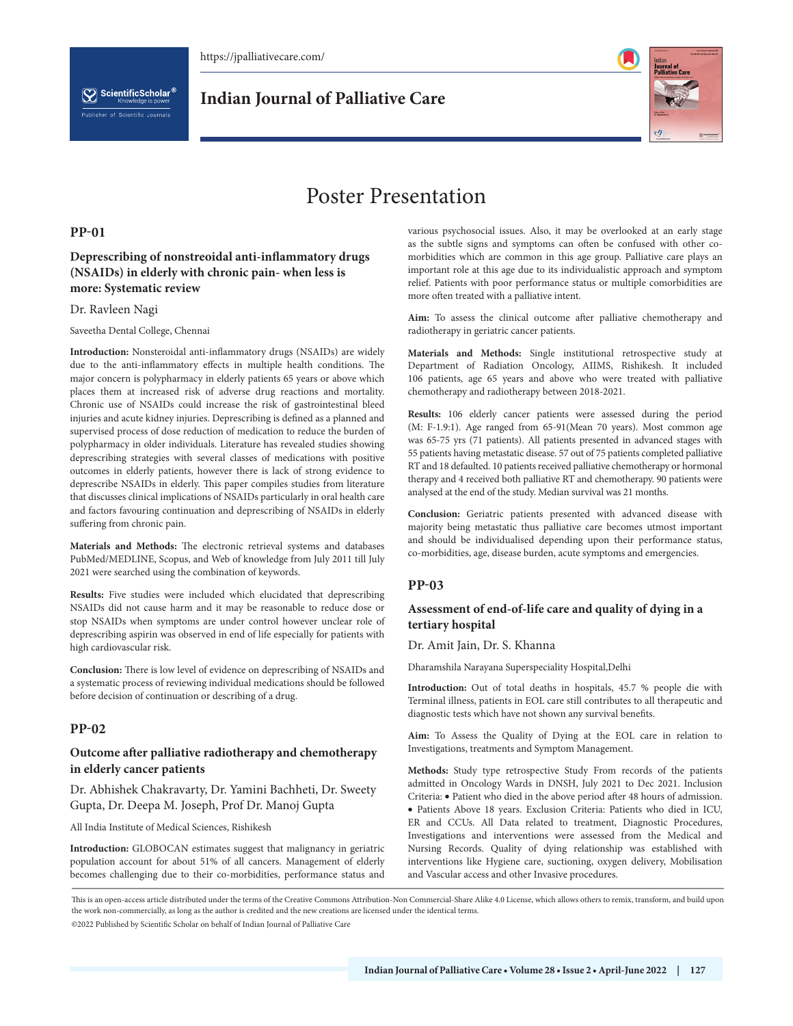

# Poster Presentation

### **PP-01**

# **Deprescribing of nonstreoidal anti-inflammatory drugs (NSAIDs) in elderly with chronic pain- when less is more: Systematic review**

#### Dr. Ravleen Nagi

Saveetha Dental College, Chennai

**Introduction:** Nonsteroidal anti-inflammatory drugs (NSAIDs) are widely due to the anti-inflammatory effects in multiple health conditions. The major concern is polypharmacy in elderly patients 65 years or above which places them at increased risk of adverse drug reactions and mortality. Chronic use of NSAIDs could increase the risk of gastrointestinal bleed injuries and acute kidney injuries. Deprescribing is defined as a planned and supervised process of dose reduction of medication to reduce the burden of polypharmacy in older individuals. Literature has revealed studies showing deprescribing strategies with several classes of medications with positive outcomes in elderly patients, however there is lack of strong evidence to deprescribe NSAIDs in elderly. This paper compiles studies from literature that discusses clinical implications of NSAIDs particularly in oral health care and factors favouring continuation and deprescribing of NSAIDs in elderly suffering from chronic pain.

**Materials and Methods:** The electronic retrieval systems and databases PubMed/MEDLINE, Scopus, and Web of knowledge from July 2011 till July 2021 were searched using the combination of keywords.

**Results:** Five studies were included which elucidated that deprescribing NSAIDs did not cause harm and it may be reasonable to reduce dose or stop NSAIDs when symptoms are under control however unclear role of deprescribing aspirin was observed in end of life especially for patients with high cardiovascular risk.

**Conclusion:** There is low level of evidence on deprescribing of NSAIDs and a systematic process of reviewing individual medications should be followed before decision of continuation or describing of a drug.

# **PP-02**

# **Outcome after palliative radiotherapy and chemotherapy in elderly cancer patients**

Dr. Abhishek Chakravarty, Dr. Yamini Bachheti, Dr. Sweety Gupta, Dr. Deepa M. Joseph, Prof Dr. Manoj Gupta

All India Institute of Medical Sciences, Rishikesh

**Introduction:** GLOBOCAN estimates suggest that malignancy in geriatric population account for about 51% of all cancers. Management of elderly becomes challenging due to their co-morbidities, performance status and various psychosocial issues. Also, it may be overlooked at an early stage as the subtle signs and symptoms can often be confused with other comorbidities which are common in this age group. Palliative care plays an important role at this age due to its individualistic approach and symptom relief. Patients with poor performance status or multiple comorbidities are more often treated with a palliative intent.

**Aim:** To assess the clinical outcome after palliative chemotherapy and radiotherapy in geriatric cancer patients.

**Materials and Methods:** Single institutional retrospective study at Department of Radiation Oncology, AIIMS, Rishikesh. It included 106 patients, age 65 years and above who were treated with palliative chemotherapy and radiotherapy between 2018-2021.

**Results:** 106 elderly cancer patients were assessed during the period (M: F-1.9:1). Age ranged from 65-91(Mean 70 years). Most common age was 65-75 yrs (71 patients). All patients presented in advanced stages with 55 patients having metastatic disease. 57 out of 75 patients completed palliative RT and 18 defaulted. 10 patients received palliative chemotherapy or hormonal therapy and 4 received both palliative RT and chemotherapy. 90 patients were analysed at the end of the study. Median survival was 21 months.

**Conclusion:** Geriatric patients presented with advanced disease with majority being metastatic thus palliative care becomes utmost important and should be individualised depending upon their performance status, co-morbidities, age, disease burden, acute symptoms and emergencies.

# **PP-03**

# **Assessment of end-of-life care and quality of dying in a tertiary hospital**

Dr. Amit Jain, Dr. S. Khanna

Dharamshila Narayana Superspeciality Hospital,Delhi

**Introduction:** Out of total deaths in hospitals, 45.7 % people die with Terminal illness, patients in EOL care still contributes to all therapeutic and diagnostic tests which have not shown any survival benefits.

**Aim:** To Assess the Quality of Dying at the EOL care in relation to Investigations, treatments and Symptom Management.

**Methods:** Study type retrospective Study From records of the patients admitted in Oncology Wards in DNSH, July 2021 to Dec 2021. Inclusion Criteria: • Patient who died in the above period after 48 hours of admission. • Patients Above 18 years. Exclusion Criteria: Patients who died in ICU, ER and CCUs. All Data related to treatment, Diagnostic Procedures, Investigations and interventions were assessed from the Medical and Nursing Records. Quality of dying relationship was established with interventions like Hygiene care, suctioning, oxygen delivery, Mobilisation and Vascular access and other Invasive procedures.

This is an open-access article distributed under the terms of the Creative Commons Attribution-Non Commercial-Share Alike 4.0 License, which allows others to remix, transform, and build upon the work non-commercially, as long as the author is credited and the new creations are licensed under the identical terms.

©2022 Published by Scientific Scholar on behalf of Indian Journal of Palliative Care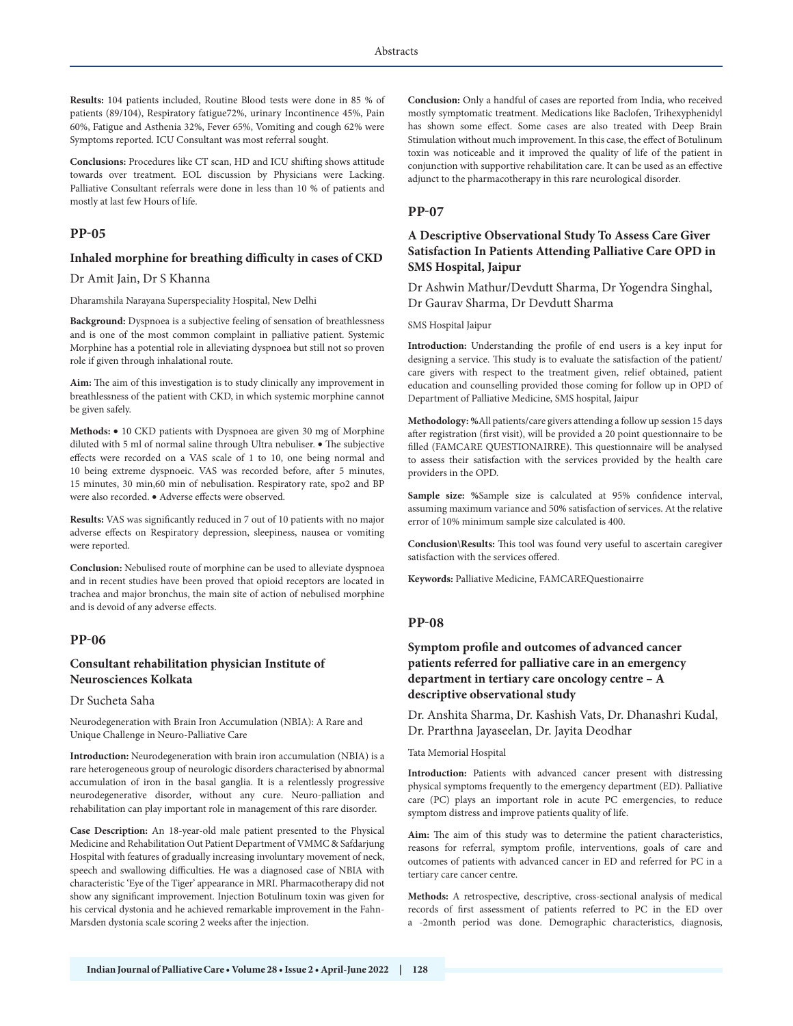**Results:** 104 patients included, Routine Blood tests were done in 85 % of patients (89/104), Respiratory fatigue72%, urinary Incontinence 45%, Pain 60%, Fatigue and Asthenia 32%, Fever 65%, Vomiting and cough 62% were Symptoms reported. ICU Consultant was most referral sought.

**Conclusions:** Procedures like CT scan, HD and ICU shifting shows attitude towards over treatment. EOL discussion by Physicians were Lacking. Palliative Consultant referrals were done in less than 10 % of patients and mostly at last few Hours of life.

# **PP-05**

#### **Inhaled morphine for breathing difficulty in cases of CKD**

Dr Amit Jain, Dr S Khanna

Dharamshila Narayana Superspeciality Hospital, New Delhi

**Background:** Dyspnoea is a subjective feeling of sensation of breathlessness and is one of the most common complaint in palliative patient. Systemic Morphine has a potential role in alleviating dyspnoea but still not so proven role if given through inhalational route.

**Aim:** The aim of this investigation is to study clinically any improvement in breathlessness of the patient with CKD, in which systemic morphine cannot be given safely.

**Methods:** • 10 CKD patients with Dyspnoea are given 30 mg of Morphine diluted with 5 ml of normal saline through Ultra nebuliser. • The subjective effects were recorded on a VAS scale of 1 to 10, one being normal and 10 being extreme dyspnoeic. VAS was recorded before, after 5 minutes, 15 minutes, 30 min,60 min of nebulisation. Respiratory rate, spo2 and BP were also recorded. • Adverse effects were observed.

**Results:** VAS was significantly reduced in 7 out of 10 patients with no major adverse effects on Respiratory depression, sleepiness, nausea or vomiting were reported.

**Conclusion:** Nebulised route of morphine can be used to alleviate dyspnoea and in recent studies have been proved that opioid receptors are located in trachea and major bronchus, the main site of action of nebulised morphine and is devoid of any adverse effects.

### **PP-06**

# **Consultant rehabilitation physician Institute of Neurosciences Kolkata**

#### Dr Sucheta Saha

Neurodegeneration with Brain Iron Accumulation (NBIA): A Rare and Unique Challenge in Neuro-Palliative Care

**Introduction:** Neurodegeneration with brain iron accumulation (NBIA) is a rare heterogeneous group of neurologic disorders characterised by abnormal accumulation of iron in the basal ganglia. It is a relentlessly progressive neurodegenerative disorder, without any cure. Neuro-palliation and rehabilitation can play important role in management of this rare disorder.

**Case Description:** An 18-year-old male patient presented to the Physical Medicine and Rehabilitation Out Patient Department of VMMC & Safdarjung Hospital with features of gradually increasing involuntary movement of neck, speech and swallowing difficulties. He was a diagnosed case of NBIA with characteristic 'Eye of the Tiger' appearance in MRI. Pharmacotherapy did not show any significant improvement. Injection Botulinum toxin was given for his cervical dystonia and he achieved remarkable improvement in the Fahn-Marsden dystonia scale scoring 2 weeks after the injection.

**Conclusion:** Only a handful of cases are reported from India, who received mostly symptomatic treatment. Medications like Baclofen, Trihexyphenidyl has shown some effect. Some cases are also treated with Deep Brain Stimulation without much improvement. In this case, the effect of Botulinum toxin was noticeable and it improved the quality of life of the patient in conjunction with supportive rehabilitation care. It can be used as an effective adjunct to the pharmacotherapy in this rare neurological disorder.

#### **PP-07**

# **A Descriptive Observational Study To Assess Care Giver Satisfaction In Patients Attending Palliative Care OPD in SMS Hospital, Jaipur**

Dr Ashwin Mathur/Devdutt Sharma, Dr Yogendra Singhal, Dr Gaurav Sharma, Dr Devdutt Sharma

SMS Hospital Jaipur

**Introduction:** Understanding the profile of end users is a key input for designing a service. This study is to evaluate the satisfaction of the patient/ care givers with respect to the treatment given, relief obtained, patient education and counselling provided those coming for follow up in OPD of Department of Palliative Medicine, SMS hospital, Jaipur

**Methodology: %**All patients/care givers attending a follow up session 15 days after registration (first visit), will be provided a 20 point questionnaire to be filled (FAMCARE QUESTIONAIRRE). This questionnaire will be analysed to assess their satisfaction with the services provided by the health care providers in the OPD.

**Sample size: %**Sample size is calculated at 95% confidence interval, assuming maximum variance and 50% satisfaction of services. At the relative error of 10% minimum sample size calculated is 400.

**Conclusion\Results:** This tool was found very useful to ascertain caregiver satisfaction with the services offered.

**Keywords:** Palliative Medicine, FAMCAREQuestionairre

### **PP-08**

# **Symptom profile and outcomes of advanced cancer patients referred for palliative care in an emergency department in tertiary care oncology centre – A descriptive observational study**

Dr. Anshita Sharma, Dr. Kashish Vats, Dr. Dhanashri Kudal, Dr. Prarthna Jayaseelan, Dr. Jayita Deodhar

#### Tata Memorial Hospital

**Introduction:** Patients with advanced cancer present with distressing physical symptoms frequently to the emergency department (ED). Palliative care (PC) plays an important role in acute PC emergencies, to reduce symptom distress and improve patients quality of life.

**Aim:** The aim of this study was to determine the patient characteristics, reasons for referral, symptom profile, interventions, goals of care and outcomes of patients with advanced cancer in ED and referred for PC in a tertiary care cancer centre.

**Methods:** A retrospective, descriptive, cross-sectional analysis of medical records of first assessment of patients referred to PC in the ED over a -2month period was done. Demographic characteristics, diagnosis,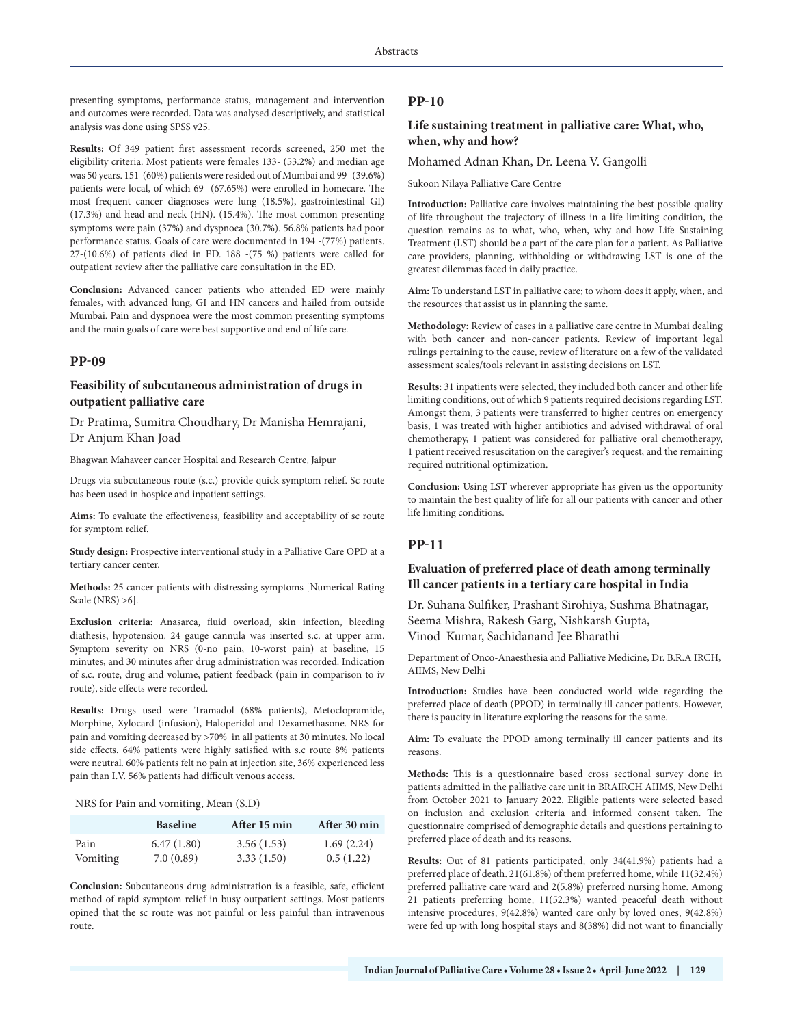presenting symptoms, performance status, management and intervention and outcomes were recorded. Data was analysed descriptively, and statistical analysis was done using SPSS v25.

**Results:** Of 349 patient first assessment records screened, 250 met the eligibility criteria. Most patients were females 133- (53.2%) and median age was 50 years. 151-(60%) patients were resided out of Mumbai and 99 -(39.6%) patients were local, of which 69 -(67.65%) were enrolled in homecare. The most frequent cancer diagnoses were lung (18.5%), gastrointestinal GI) (17.3%) and head and neck (HN). (15.4%). The most common presenting symptoms were pain (37%) and dyspnoea (30.7%). 56.8% patients had poor performance status. Goals of care were documented in 194 -(77%) patients. 27-(10.6%) of patients died in ED. 188 -(75 %) patients were called for outpatient review after the palliative care consultation in the ED.

**Conclusion:** Advanced cancer patients who attended ED were mainly females, with advanced lung, GI and HN cancers and hailed from outside Mumbai. Pain and dyspnoea were the most common presenting symptoms and the main goals of care were best supportive and end of life care.

#### **PP-09**

# **Feasibility of subcutaneous administration of drugs in outpatient palliative care**

Dr Pratima, Sumitra Choudhary, Dr Manisha Hemrajani, Dr Anjum Khan Joad

Bhagwan Mahaveer cancer Hospital and Research Centre, Jaipur

Drugs via subcutaneous route (s.c.) provide quick symptom relief. Sc route has been used in hospice and inpatient settings.

**Aims:** To evaluate the effectiveness, feasibility and acceptability of sc route for symptom relief.

**Study design:** Prospective interventional study in a Palliative Care OPD at a tertiary cancer center.

**Methods:** 25 cancer patients with distressing symptoms [Numerical Rating Scale (NRS) >6].

**Exclusion criteria:** Anasarca, fluid overload, skin infection, bleeding diathesis, hypotension. 24 gauge cannula was inserted s.c. at upper arm. Symptom severity on NRS (0-no pain, 10-worst pain) at baseline, 15 minutes, and 30 minutes after drug administration was recorded. Indication of s.c. route, drug and volume, patient feedback (pain in comparison to iv route), side effects were recorded.

**Results:** Drugs used were Tramadol (68% patients), Metoclopramide, Morphine, Xylocard (infusion), Haloperidol and Dexamethasone. NRS for pain and vomiting decreased by >70% in all patients at 30 minutes. No local side effects. 64% patients were highly satisfied with s.c route 8% patients were neutral. 60% patients felt no pain at injection site, 36% experienced less pain than I.V. 56% patients had difficult venous access.

NRS for Pain and vomiting, Mean (S.D)

|                 | <b>Baseline</b> | After 15 min | After 30 min |
|-----------------|-----------------|--------------|--------------|
| Pain            | 6.47(1.80)      | 3.56(1.53)   | 1.69(2.24)   |
| <b>Vomiting</b> | 7.0(0.89)       | 3.33(1.50)   | 0.5(1.22)    |

**Conclusion:** Subcutaneous drug administration is a feasible, safe, efficient method of rapid symptom relief in busy outpatient settings. Most patients opined that the sc route was not painful or less painful than intravenous route.

#### **PP-10**

### **Life sustaining treatment in palliative care: What, who, when, why and how?**

Mohamed Adnan Khan, Dr. Leena V. Gangolli

Sukoon Nilaya Palliative Care Centre

**Introduction:** Palliative care involves maintaining the best possible quality of life throughout the trajectory of illness in a life limiting condition, the question remains as to what, who, when, why and how Life Sustaining Treatment (LST) should be a part of the care plan for a patient. As Palliative care providers, planning, withholding or withdrawing LST is one of the greatest dilemmas faced in daily practice.

**Aim:** To understand LST in palliative care; to whom does it apply, when, and the resources that assist us in planning the same.

**Methodology:** Review of cases in a palliative care centre in Mumbai dealing with both cancer and non-cancer patients. Review of important legal rulings pertaining to the cause, review of literature on a few of the validated assessment scales/tools relevant in assisting decisions on LST.

**Results:** 31 inpatients were selected, they included both cancer and other life limiting conditions, out of which 9 patients required decisions regarding LST. Amongst them, 3 patients were transferred to higher centres on emergency basis, 1 was treated with higher antibiotics and advised withdrawal of oral chemotherapy, 1 patient was considered for palliative oral chemotherapy, 1 patient received resuscitation on the caregiver's request, and the remaining required nutritional optimization.

**Conclusion:** Using LST wherever appropriate has given us the opportunity to maintain the best quality of life for all our patients with cancer and other life limiting conditions.

# **PP-11**

# **Evaluation of preferred place of death among terminally Ill cancer patients in a tertiary care hospital in India**

Dr. Suhana Sulfiker, Prashant Sirohiya, Sushma Bhatnagar, Seema Mishra, Rakesh Garg, Nishkarsh Gupta, Vinod Kumar, Sachidanand Jee Bharathi

Department of Onco-Anaesthesia and Palliative Medicine, Dr. B.R.A IRCH, AIIMS, New Delhi

**Introduction:** Studies have been conducted world wide regarding the preferred place of death (PPOD) in terminally ill cancer patients. However, there is paucity in literature exploring the reasons for the same.

**Aim:** To evaluate the PPOD among terminally ill cancer patients and its reasons.

**Methods:** This is a questionnaire based cross sectional survey done in patients admitted in the palliative care unit in BRAIRCH AIIMS, New Delhi from October 2021 to January 2022. Eligible patients were selected based on inclusion and exclusion criteria and informed consent taken. The questionnaire comprised of demographic details and questions pertaining to preferred place of death and its reasons.

**Results:** Out of 81 patients participated, only 34(41.9%) patients had a preferred place of death. 21(61.8%) of them preferred home, while 11(32.4%) preferred palliative care ward and 2(5.8%) preferred nursing home. Among 21 patients preferring home, 11(52.3%) wanted peaceful death without intensive procedures, 9(42.8%) wanted care only by loved ones, 9(42.8%) were fed up with long hospital stays and 8(38%) did not want to financially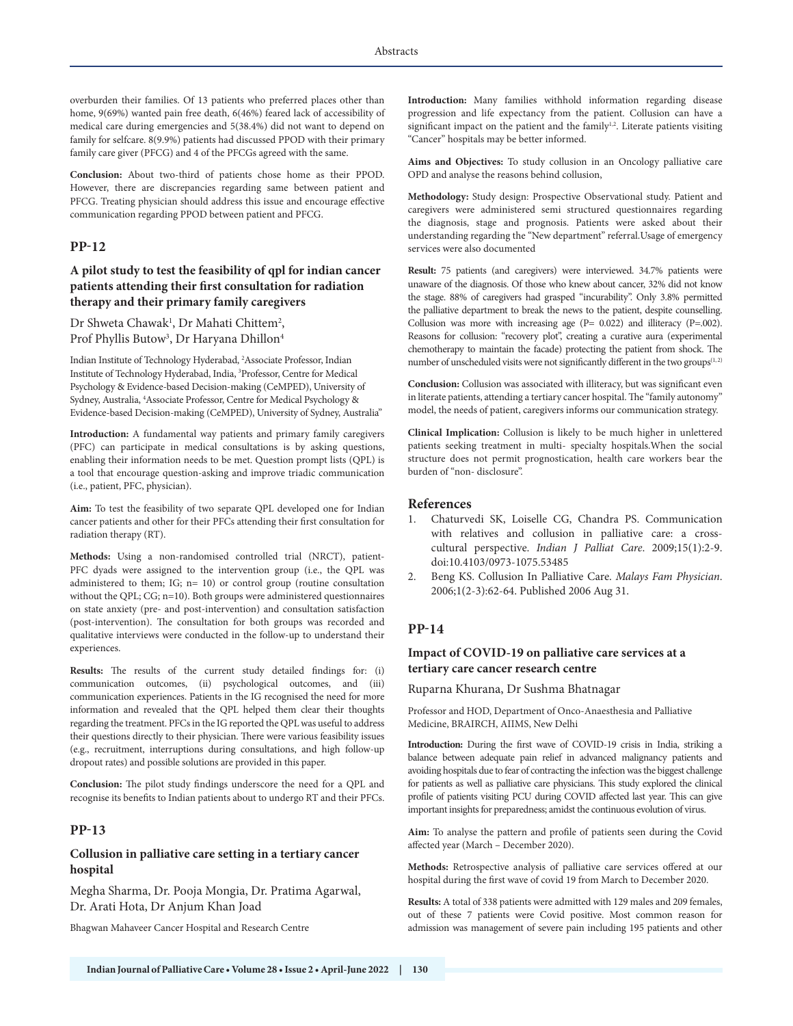overburden their families. Of 13 patients who preferred places other than home, 9(69%) wanted pain free death, 6(46%) feared lack of accessibility of medical care during emergencies and 5(38.4%) did not want to depend on family for selfcare. 8(9.9%) patients had discussed PPOD with their primary family care giver (PFCG) and 4 of the PFCGs agreed with the same.

**Conclusion:** About two-third of patients chose home as their PPOD. However, there are discrepancies regarding same between patient and PFCG. Treating physician should address this issue and encourage effective communication regarding PPOD between patient and PFCG.

#### **PP-12**

# **A pilot study to test the feasibility of qpl for indian cancer patients attending their first consultation for radiation therapy and their primary family caregivers**

Dr Shweta Chawak<sup>1</sup>, Dr Mahati Chittem<sup>2</sup>, Prof Phyllis Butow<sup>3</sup>, Dr Haryana Dhillon<sup>4</sup>

Indian Institute of Technology Hyderabad, 2 Associate Professor, Indian Institute of Technology Hyderabad, India, 3 Professor, Centre for Medical Psychology & Evidence-based Decision-making (CeMPED), University of Sydney, Australia, <sup>4</sup>Associate Professor, Centre for Medical Psychology & Evidence-based Decision-making (CeMPED), University of Sydney, Australia"

**Introduction:** A fundamental way patients and primary family caregivers (PFC) can participate in medical consultations is by asking questions, enabling their information needs to be met. Question prompt lists (QPL) is a tool that encourage question-asking and improve triadic communication (i.e., patient, PFC, physician).

**Aim:** To test the feasibility of two separate QPL developed one for Indian cancer patients and other for their PFCs attending their first consultation for radiation therapy (RT).

**Methods:** Using a non-randomised controlled trial (NRCT), patient-PFC dyads were assigned to the intervention group (i.e., the QPL was administered to them; IG;  $n=10$ ) or control group (routine consultation without the QPL; CG; n=10). Both groups were administered questionnaires on state anxiety (pre- and post-intervention) and consultation satisfaction (post-intervention). The consultation for both groups was recorded and qualitative interviews were conducted in the follow-up to understand their experiences.

**Results:** The results of the current study detailed findings for: (i) communication outcomes, (ii) psychological outcomes, and (iii) communication experiences. Patients in the IG recognised the need for more information and revealed that the QPL helped them clear their thoughts regarding the treatment. PFCs in the IG reported the QPL was useful to address their questions directly to their physician. There were various feasibility issues (e.g., recruitment, interruptions during consultations, and high follow-up dropout rates) and possible solutions are provided in this paper.

**Conclusion:** The pilot study findings underscore the need for a QPL and recognise its benefits to Indian patients about to undergo RT and their PFCs.

# **PP-13**

# **Collusion in palliative care setting in a tertiary cancer hospital**

Megha Sharma, Dr. Pooja Mongia, Dr. Pratima Agarwal, Dr. Arati Hota, Dr Anjum Khan Joad

Bhagwan Mahaveer Cancer Hospital and Research Centre

**Introduction:** Many families withhold information regarding disease progression and life expectancy from the patient. Collusion can have a significant impact on the patient and the family<sup>1,2</sup>. Literate patients visiting "Cancer" hospitals may be better informed.

**Aims and Objectives:** To study collusion in an Oncology palliative care OPD and analyse the reasons behind collusion,

**Methodology:** Study design: Prospective Observational study. Patient and caregivers were administered semi structured questionnaires regarding the diagnosis, stage and prognosis. Patients were asked about their understanding regarding the "New department" referral.Usage of emergency services were also documented

**Result:** 75 patients (and caregivers) were interviewed. 34.7% patients were unaware of the diagnosis. Of those who knew about cancer, 32% did not know the stage. 88% of caregivers had grasped "incurability". Only 3.8% permitted the palliative department to break the news to the patient, despite counselling. Collusion was more with increasing age  $(P= 0.022)$  and illiteracy  $(P=.002)$ . Reasons for collusion: "recovery plot", creating a curative aura (experimental chemotherapy to maintain the facade) protecting the patient from shock. The number of unscheduled visits were not significantly different in the two groups<sup>(1, 2)</sup>

**Conclusion:** Collusion was associated with illiteracy, but was significant even in literate patients, attending a tertiary cancer hospital. The "family autonomy" model, the needs of patient, caregivers informs our communication strategy.

**Clinical Implication:** Collusion is likely to be much higher in unlettered patients seeking treatment in multi- specialty hospitals.When the social structure does not permit prognostication, health care workers bear the burden of "non- disclosure".

#### **References**

- 1. Chaturvedi SK, Loiselle CG, Chandra PS. Communication with relatives and collusion in palliative care: a crosscultural perspective. *Indian J Palliat Care*. 2009;15(1):2-9. doi:10.4103/0973-1075.53485
- 2. Beng KS. Collusion In Palliative Care. *Malays Fam Physician*. 2006;1(2-3):62-64. Published 2006 Aug 31.

#### **PP-14**

### **Impact of COVID-19 on palliative care services at a tertiary care cancer research centre**

Ruparna Khurana, Dr Sushma Bhatnagar

Professor and HOD, Department of Onco-Anaesthesia and Palliative Medicine, BRAIRCH, AIIMS, New Delhi

**Introduction:** During the first wave of COVID-19 crisis in India, striking a balance between adequate pain relief in advanced malignancy patients and avoiding hospitals due to fear of contracting the infection was the biggest challenge for patients as well as palliative care physicians. This study explored the clinical profile of patients visiting PCU during COVID affected last year. This can give important insights for preparedness; amidst the continuous evolution of virus.

**Aim:** To analyse the pattern and profile of patients seen during the Covid affected year (March – December 2020).

**Methods:** Retrospective analysis of palliative care services offered at our hospital during the first wave of covid 19 from March to December 2020.

**Results:** A total of 338 patients were admitted with 129 males and 209 females, out of these 7 patients were Covid positive. Most common reason for admission was management of severe pain including 195 patients and other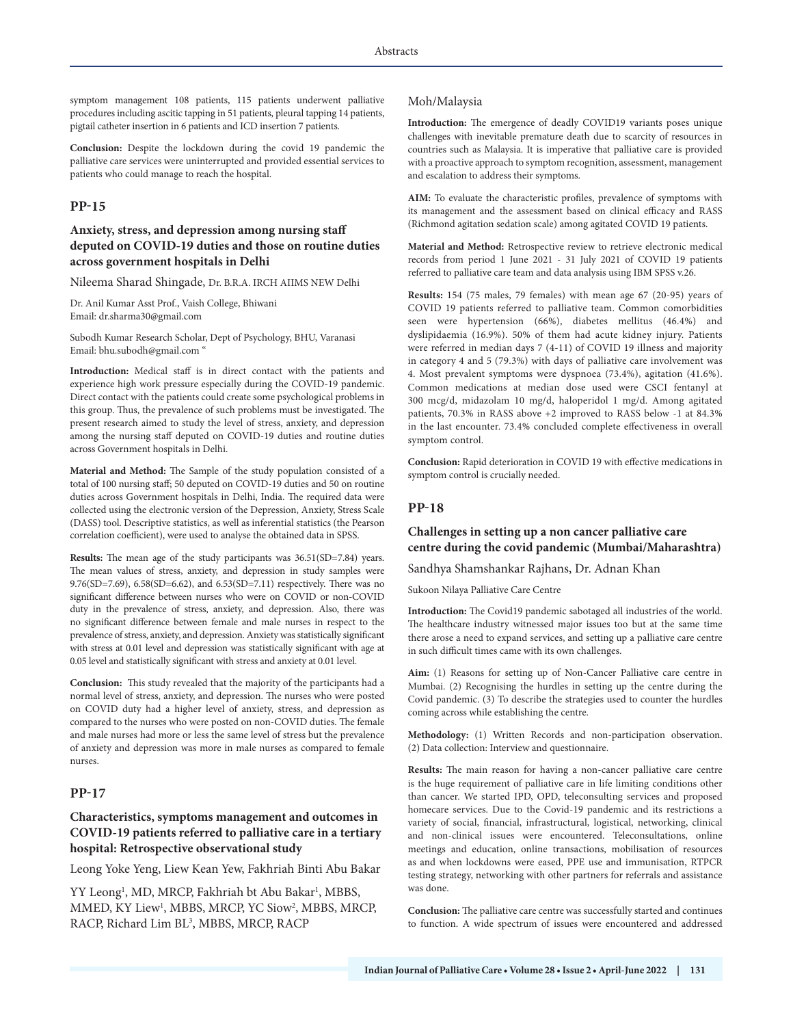symptom management 108 patients, 115 patients underwent palliative procedures including ascitic tapping in 51 patients, pleural tapping 14 patients, pigtail catheter insertion in 6 patients and ICD insertion 7 patients.

**Conclusion:** Despite the lockdown during the covid 19 pandemic the palliative care services were uninterrupted and provided essential services to patients who could manage to reach the hospital.

### **PP-15**

# **Anxiety, stress, and depression among nursing staff deputed on COVID-19 duties and those on routine duties across government hospitals in Delhi**

Nileema Sharad Shingade, Dr. B.R.A. IRCH AIIMS NEW Delhi

Dr. Anil Kumar Asst Prof., Vaish College, Bhiwani Email: dr.sharma30@gmail.com

Subodh Kumar Research Scholar, Dept of Psychology, BHU, Varanasi Email: bhu.subodh@gmail.com "

**Introduction:** Medical staff is in direct contact with the patients and experience high work pressure especially during the COVID-19 pandemic. Direct contact with the patients could create some psychological problems in this group. Thus, the prevalence of such problems must be investigated. The present research aimed to study the level of stress, anxiety, and depression among the nursing staff deputed on COVID-19 duties and routine duties across Government hospitals in Delhi.

**Material and Method:** The Sample of the study population consisted of a total of 100 nursing staff; 50 deputed on COVID-19 duties and 50 on routine duties across Government hospitals in Delhi, India. The required data were collected using the electronic version of the Depression, Anxiety, Stress Scale (DASS) tool. Descriptive statistics, as well as inferential statistics (the Pearson correlation coefficient), were used to analyse the obtained data in SPSS.

**Results:** The mean age of the study participants was 36.51(SD=7.84) years. The mean values of stress, anxiety, and depression in study samples were 9.76(SD=7.69), 6.58(SD=6.62), and 6.53(SD=7.11) respectively. There was no significant difference between nurses who were on COVID or non-COVID duty in the prevalence of stress, anxiety, and depression. Also, there was no significant difference between female and male nurses in respect to the prevalence of stress, anxiety, and depression. Anxiety was statistically significant with stress at 0.01 level and depression was statistically significant with age at 0.05 level and statistically significant with stress and anxiety at 0.01 level.

**Conclusion:** This study revealed that the majority of the participants had a normal level of stress, anxiety, and depression. The nurses who were posted on COVID duty had a higher level of anxiety, stress, and depression as compared to the nurses who were posted on non-COVID duties. The female and male nurses had more or less the same level of stress but the prevalence of anxiety and depression was more in male nurses as compared to female nurses.

# **PP-17**

# **Characteristics, symptoms management and outcomes in COVID-19 patients referred to palliative care in a tertiary hospital: Retrospective observational study**

Leong Yoke Yeng, Liew Kean Yew, Fakhriah Binti Abu Bakar

YY Leong<sup>1</sup>, MD, MRCP, Fakhriah bt Abu Bakar<sup>1</sup>, MBBS, MMED, KY Liew1 , MBBS, MRCP, YC Siow2 , MBBS, MRCP, RACP, Richard Lim BL<sup>3</sup>, MBBS, MRCP, RACP

#### Moh/Malaysia

**Introduction:** The emergence of deadly COVID19 variants poses unique challenges with inevitable premature death due to scarcity of resources in countries such as Malaysia. It is imperative that palliative care is provided with a proactive approach to symptom recognition, assessment, management and escalation to address their symptoms.

**AIM:** To evaluate the characteristic profiles, prevalence of symptoms with its management and the assessment based on clinical efficacy and RASS (Richmond agitation sedation scale) among agitated COVID 19 patients.

**Material and Method:** Retrospective review to retrieve electronic medical records from period 1 June 2021 - 31 July 2021 of COVID 19 patients referred to palliative care team and data analysis using IBM SPSS v.26.

**Results:** 154 (75 males, 79 females) with mean age 67 (20-95) years of COVID 19 patients referred to palliative team. Common comorbidities seen were hypertension (66%), diabetes mellitus (46.4%) and dyslipidaemia (16.9%). 50% of them had acute kidney injury. Patients were referred in median days 7 (4-11) of COVID 19 illness and majority in category 4 and 5 (79.3%) with days of palliative care involvement was 4. Most prevalent symptoms were dyspnoea (73.4%), agitation (41.6%). Common medications at median dose used were CSCI fentanyl at 300 mcg/d, midazolam 10 mg/d, haloperidol 1 mg/d. Among agitated patients, 70.3% in RASS above +2 improved to RASS below -1 at 84.3% in the last encounter. 73.4% concluded complete effectiveness in overall symptom control.

**Conclusion:** Rapid deterioration in COVID 19 with effective medications in symptom control is crucially needed.

# **PP-18**

#### **Challenges in setting up a non cancer palliative care centre during the covid pandemic (Mumbai/Maharashtra)**

Sandhya Shamshankar Rajhans, Dr. Adnan Khan

Sukoon Nilaya Palliative Care Centre

**Introduction:** The Covid19 pandemic sabotaged all industries of the world. The healthcare industry witnessed major issues too but at the same time there arose a need to expand services, and setting up a palliative care centre in such difficult times came with its own challenges.

**Aim:** (1) Reasons for setting up of Non-Cancer Palliative care centre in Mumbai. (2) Recognising the hurdles in setting up the centre during the Covid pandemic. (3) To describe the strategies used to counter the hurdles coming across while establishing the centre.

**Methodology:** (1) Written Records and non-participation observation. (2) Data collection: Interview and questionnaire.

**Results:** The main reason for having a non-cancer palliative care centre is the huge requirement of palliative care in life limiting conditions other than cancer. We started IPD, OPD, teleconsulting services and proposed homecare services. Due to the Covid-19 pandemic and its restrictions a variety of social, financial, infrastructural, logistical, networking, clinical and non-clinical issues were encountered. Teleconsultations, online meetings and education, online transactions, mobilisation of resources as and when lockdowns were eased, PPE use and immunisation, RTPCR testing strategy, networking with other partners for referrals and assistance was done.

**Conclusion:** The palliative care centre was successfully started and continues to function. A wide spectrum of issues were encountered and addressed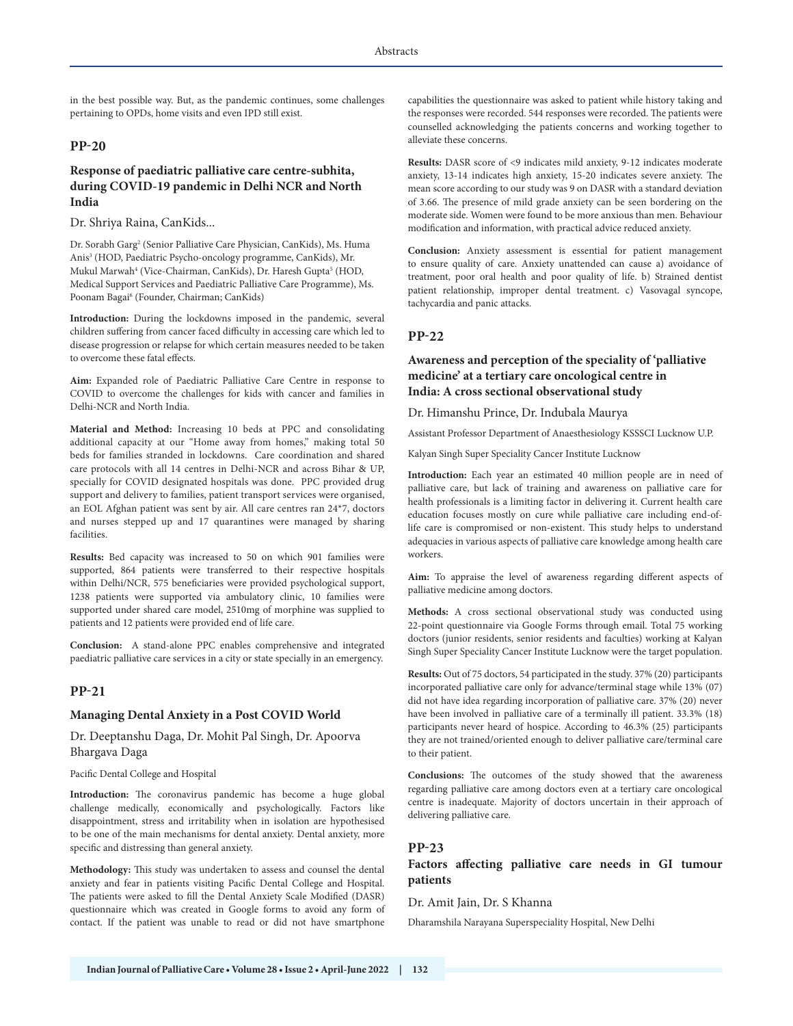in the best possible way. But, as the pandemic continues, some challenges pertaining to OPDs, home visits and even IPD still exist.

# **PP-20**

# **Response of paediatric palliative care centre-subhita, during COVID-19 pandemic in Delhi NCR and North India**

Dr. Shriya Raina, CanKids...

Dr. Sorabh Garg<sup>2</sup> (Senior Palliative Care Physician, CanKids), Ms. Huma Anis3 (HOD, Paediatric Psycho-oncology programme, CanKids), Mr. Mukul Marwah<sup>4</sup> (Vice-Chairman, CanKids), Dr. Haresh Gupta<sup>5</sup> (HOD, Medical Support Services and Paediatric Palliative Care Programme), Ms. Poonam Bagai<sup>6</sup> (Founder, Chairman; CanKids)

**Introduction:** During the lockdowns imposed in the pandemic, several children suffering from cancer faced difficulty in accessing care which led to disease progression or relapse for which certain measures needed to be taken to overcome these fatal effects.

**Aim:** Expanded role of Paediatric Palliative Care Centre in response to COVID to overcome the challenges for kids with cancer and families in Delhi-NCR and North India.

**Material and Method:** Increasing 10 beds at PPC and consolidating additional capacity at our "Home away from homes," making total 50 beds for families stranded in lockdowns. Care coordination and shared care protocols with all 14 centres in Delhi-NCR and across Bihar & UP, specially for COVID designated hospitals was done. PPC provided drug support and delivery to families, patient transport services were organised, an EOL Afghan patient was sent by air. All care centres ran 24\*7, doctors and nurses stepped up and 17 quarantines were managed by sharing facilities.

**Results:** Bed capacity was increased to 50 on which 901 families were supported, 864 patients were transferred to their respective hospitals within Delhi/NCR, 575 beneficiaries were provided psychological support, 1238 patients were supported via ambulatory clinic, 10 families were supported under shared care model, 2510mg of morphine was supplied to patients and 12 patients were provided end of life care.

**Conclusion:** A stand-alone PPC enables comprehensive and integrated paediatric palliative care services in a city or state specially in an emergency.

#### **PP-21**

#### **Managing Dental Anxiety in a Post COVID World**

Dr. Deeptanshu Daga, Dr. Mohit Pal Singh, Dr. Apoorva Bhargava Daga

Pacific Dental College and Hospital

**Introduction:** The coronavirus pandemic has become a huge global challenge medically, economically and psychologically. Factors like disappointment, stress and irritability when in isolation are hypothesised to be one of the main mechanisms for dental anxiety. Dental anxiety, more specific and distressing than general anxiety.

**Methodology:** This study was undertaken to assess and counsel the dental anxiety and fear in patients visiting Pacific Dental College and Hospital. The patients were asked to fill the Dental Anxiety Scale Modified (DASR) questionnaire which was created in Google forms to avoid any form of contact. If the patient was unable to read or did not have smartphone capabilities the questionnaire was asked to patient while history taking and the responses were recorded. 544 responses were recorded. The patients were counselled acknowledging the patients concerns and working together to alleviate these concerns.

**Results:** DASR score of <9 indicates mild anxiety, 9-12 indicates moderate anxiety, 13-14 indicates high anxiety, 15-20 indicates severe anxiety. The mean score according to our study was 9 on DASR with a standard deviation of 3.66. The presence of mild grade anxiety can be seen bordering on the moderate side. Women were found to be more anxious than men. Behaviour modification and information, with practical advice reduced anxiety.

**Conclusion:** Anxiety assessment is essential for patient management to ensure quality of care. Anxiety unattended can cause a) avoidance of treatment, poor oral health and poor quality of life. b) Strained dentist patient relationship, improper dental treatment. c) Vasovagal syncope, tachycardia and panic attacks.

# **PP-22**

### **Awareness and perception of the speciality of 'palliative medicine' at a tertiary care oncological centre in India: A cross sectional observational study**

Dr. Himanshu Prince, Dr. Indubala Maurya

Assistant Professor Department of Anaesthesiology KSSSCI Lucknow U.P.

Kalyan Singh Super Speciality Cancer Institute Lucknow

**Introduction:** Each year an estimated 40 million people are in need of palliative care, but lack of training and awareness on palliative care for health professionals is a limiting factor in delivering it. Current health care education focuses mostly on cure while palliative care including end-oflife care is compromised or non-existent. This study helps to understand adequacies in various aspects of palliative care knowledge among health care workers.

**Aim:** To appraise the level of awareness regarding different aspects of palliative medicine among doctors.

**Methods:** A cross sectional observational study was conducted using 22-point questionnaire via Google Forms through email. Total 75 working doctors (junior residents, senior residents and faculties) working at Kalyan Singh Super Speciality Cancer Institute Lucknow were the target population.

**Results:** Out of 75 doctors, 54 participated in the study. 37% (20) participants incorporated palliative care only for advance/terminal stage while 13% (07) did not have idea regarding incorporation of palliative care. 37% (20) never have been involved in palliative care of a terminally ill patient. 33.3% (18) participants never heard of hospice. According to 46.3% (25) participants they are not trained/oriented enough to deliver palliative care/terminal care to their patient.

**Conclusions:** The outcomes of the study showed that the awareness regarding palliative care among doctors even at a tertiary care oncological centre is inadequate. Majority of doctors uncertain in their approach of delivering palliative care.

#### **PP-23**

# **Factors affecting palliative care needs in GI tumour patients**

Dr. Amit Jain, Dr. S Khanna

Dharamshila Narayana Superspeciality Hospital, New Delhi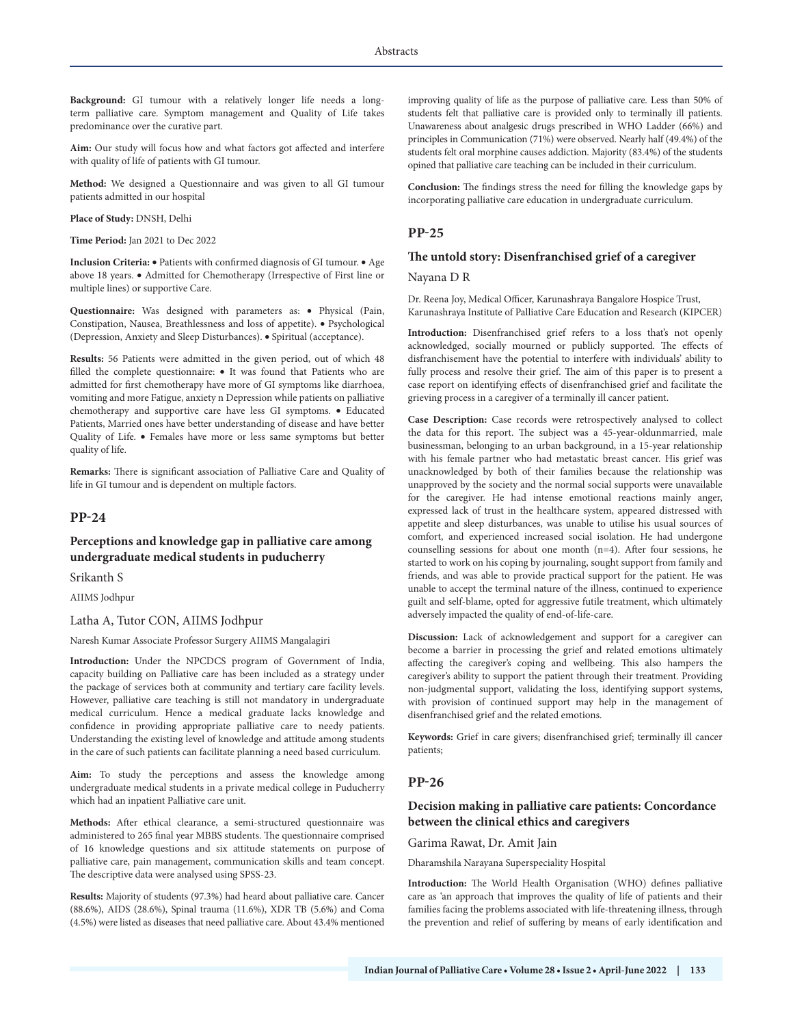**Background:** GI tumour with a relatively longer life needs a longterm palliative care. Symptom management and Quality of Life takes predominance over the curative part.

**Aim:** Our study will focus how and what factors got affected and interfere with quality of life of patients with GI tumour.

**Method:** We designed a Questionnaire and was given to all GI tumour patients admitted in our hospital

**Place of Study:** DNSH, Delhi

**Time Period:** Jan 2021 to Dec 2022

**Inclusion Criteria:** • Patients with confirmed diagnosis of GI tumour. • Age above 18 years. • Admitted for Chemotherapy (Irrespective of First line or multiple lines) or supportive Care.

**Questionnaire:** Was designed with parameters as: • Physical (Pain, Constipation, Nausea, Breathlessness and loss of appetite). • Psychological (Depression, Anxiety and Sleep Disturbances). • Spiritual (acceptance).

**Results:** 56 Patients were admitted in the given period, out of which 48 filled the complete questionnaire: • It was found that Patients who are admitted for first chemotherapy have more of GI symptoms like diarrhoea, vomiting and more Fatigue, anxiety n Depression while patients on palliative chemotherapy and supportive care have less GI symptoms. • Educated Patients, Married ones have better understanding of disease and have better Quality of Life. • Females have more or less same symptoms but better quality of life.

**Remarks:** There is significant association of Palliative Care and Quality of life in GI tumour and is dependent on multiple factors.

# **PP-24**

# **Perceptions and knowledge gap in palliative care among undergraduate medical students in puducherry**

Srikanth S

AIIMS Jodhpur

Latha A, Tutor CON, AIIMS Jodhpur

Naresh Kumar Associate Professor Surgery AIIMS Mangalagiri

**Introduction:** Under the NPCDCS program of Government of India, capacity building on Palliative care has been included as a strategy under the package of services both at community and tertiary care facility levels. However, palliative care teaching is still not mandatory in undergraduate medical curriculum. Hence a medical graduate lacks knowledge and confidence in providing appropriate palliative care to needy patients. Understanding the existing level of knowledge and attitude among students in the care of such patients can facilitate planning a need based curriculum.

**Aim:** To study the perceptions and assess the knowledge among undergraduate medical students in a private medical college in Puducherry which had an inpatient Palliative care unit.

**Methods:** After ethical clearance, a semi-structured questionnaire was administered to 265 final year MBBS students. The questionnaire comprised of 16 knowledge questions and six attitude statements on purpose of palliative care, pain management, communication skills and team concept. The descriptive data were analysed using SPSS-23.

**Results:** Majority of students (97.3%) had heard about palliative care. Cancer (88.6%), AIDS (28.6%), Spinal trauma (11.6%), XDR TB (5.6%) and Coma (4.5%) were listed as diseases that need palliative care. About 43.4% mentioned improving quality of life as the purpose of palliative care. Less than 50% of students felt that palliative care is provided only to terminally ill patients. Unawareness about analgesic drugs prescribed in WHO Ladder (66%) and principles in Communication (71%) were observed. Nearly half (49.4%) of the students felt oral morphine causes addiction. Majority (83.4%) of the students opined that palliative care teaching can be included in their curriculum.

**Conclusion:** The findings stress the need for filling the knowledge gaps by incorporating palliative care education in undergraduate curriculum.

#### **PP-25**

#### **The untold story: Disenfranchised grief of a caregiver**

Nayana D R

Dr. Reena Joy, Medical Officer, Karunashraya Bangalore Hospice Trust, Karunashraya Institute of Palliative Care Education and Research (KIPCER)

**Introduction:** Disenfranchised grief refers to a loss that's not openly acknowledged, socially mourned or publicly supported. The effects of disfranchisement have the potential to interfere with individuals' ability to fully process and resolve their grief. The aim of this paper is to present a case report on identifying effects of disenfranchised grief and facilitate the grieving process in a caregiver of a terminally ill cancer patient.

**Case Description:** Case records were retrospectively analysed to collect the data for this report. The subject was a 45-year-oldunmarried, male businessman, belonging to an urban background, in a 15-year relationship with his female partner who had metastatic breast cancer. His grief was unacknowledged by both of their families because the relationship was unapproved by the society and the normal social supports were unavailable for the caregiver. He had intense emotional reactions mainly anger, expressed lack of trust in the healthcare system, appeared distressed with appetite and sleep disturbances, was unable to utilise his usual sources of comfort, and experienced increased social isolation. He had undergone counselling sessions for about one month (n=4). After four sessions, he started to work on his coping by journaling, sought support from family and friends, and was able to provide practical support for the patient. He was unable to accept the terminal nature of the illness, continued to experience guilt and self-blame, opted for aggressive futile treatment, which ultimately adversely impacted the quality of end-of-life-care.

**Discussion:** Lack of acknowledgement and support for a caregiver can become a barrier in processing the grief and related emotions ultimately affecting the caregiver's coping and wellbeing. This also hampers the caregiver's ability to support the patient through their treatment. Providing non-judgmental support, validating the loss, identifying support systems, with provision of continued support may help in the management of disenfranchised grief and the related emotions.

**Keywords:** Grief in care givers; disenfranchised grief; terminally ill cancer patients;

#### **PP-26**

# **Decision making in palliative care patients: Concordance between the clinical ethics and caregivers**

Garima Rawat, Dr. Amit Jain

Dharamshila Narayana Superspeciality Hospital

**Introduction:** The World Health Organisation (WHO) defines palliative care as 'an approach that improves the quality of life of patients and their families facing the problems associated with life-threatening illness, through the prevention and relief of suffering by means of early identification and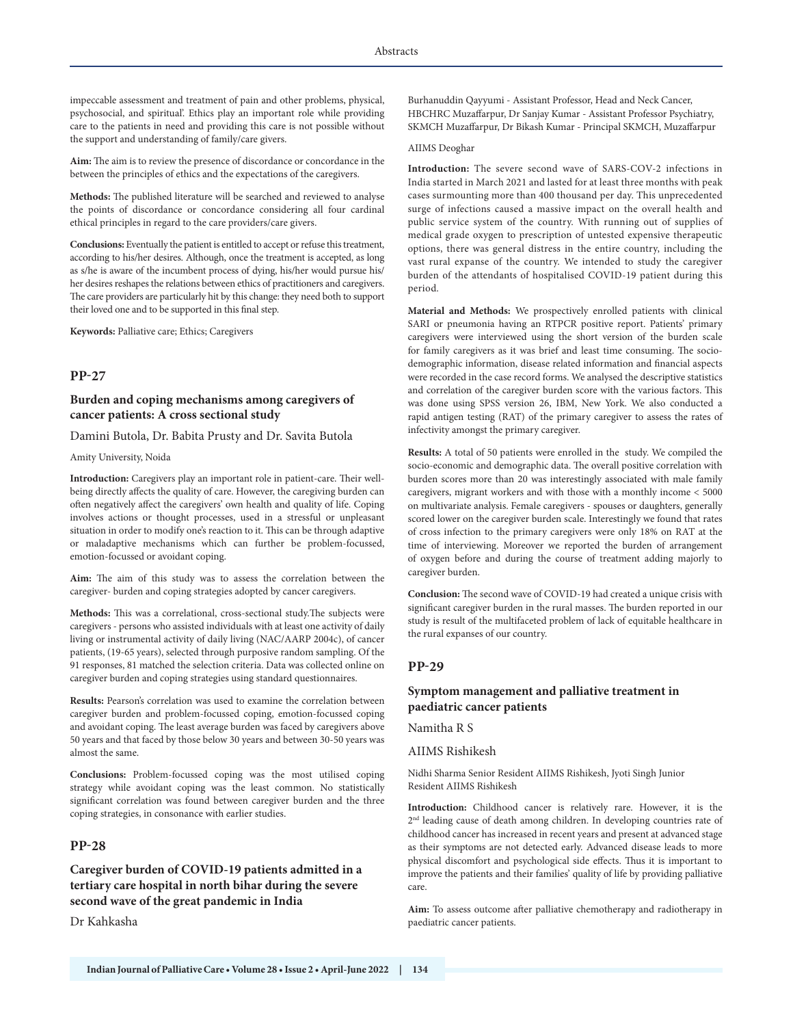impeccable assessment and treatment of pain and other problems, physical, psychosocial, and spiritual'. Ethics play an important role while providing care to the patients in need and providing this care is not possible without the support and understanding of family/care givers.

**Aim:** The aim is to review the presence of discordance or concordance in the between the principles of ethics and the expectations of the caregivers.

**Methods:** The published literature will be searched and reviewed to analyse the points of discordance or concordance considering all four cardinal ethical principles in regard to the care providers/care givers.

**Conclusions:** Eventually the patient is entitled to accept or refuse this treatment, according to his/her desires. Although, once the treatment is accepted, as long as s/he is aware of the incumbent process of dying, his/her would pursue his/ her desires reshapes the relations between ethics of practitioners and caregivers. The care providers are particularly hit by this change: they need both to support their loved one and to be supported in this final step.

**Keywords:** Palliative care; Ethics; Caregivers

#### **PP-27**

# **Burden and coping mechanisms among caregivers of cancer patients: A cross sectional study**

Damini Butola, Dr. Babita Prusty and Dr. Savita Butola

Amity University, Noida

**Introduction:** Caregivers play an important role in patient-care. Their wellbeing directly affects the quality of care. However, the caregiving burden can often negatively affect the caregivers' own health and quality of life. Coping involves actions or thought processes, used in a stressful or unpleasant situation in order to modify one's reaction to it. This can be through adaptive or maladaptive mechanisms which can further be problem-focussed, emotion-focussed or avoidant coping.

**Aim:** The aim of this study was to assess the correlation between the caregiver- burden and coping strategies adopted by cancer caregivers.

**Methods:** This was a correlational, cross-sectional study.The subjects were caregivers - persons who assisted individuals with at least one activity of daily living or instrumental activity of daily living (NAC/AARP 2004c), of cancer patients, (19-65 years), selected through purposive random sampling. Of the 91 responses, 81 matched the selection criteria. Data was collected online on caregiver burden and coping strategies using standard questionnaires.

**Results:** Pearson's correlation was used to examine the correlation between caregiver burden and problem-focussed coping, emotion-focussed coping and avoidant coping. The least average burden was faced by caregivers above 50 years and that faced by those below 30 years and between 30-50 years was almost the same.

**Conclusions:** Problem-focussed coping was the most utilised coping strategy while avoidant coping was the least common. No statistically significant correlation was found between caregiver burden and the three coping strategies, in consonance with earlier studies.

#### **PP-28**

**Caregiver burden of COVID-19 patients admitted in a tertiary care hospital in north bihar during the severe second wave of the great pandemic in India**

Dr Kahkasha

Burhanuddin Qayyumi - Assistant Professor, Head and Neck Cancer, HBCHRC Muzaffarpur, Dr Sanjay Kumar - Assistant Professor Psychiatry, SKMCH Muzaffarpur, Dr Bikash Kumar - Principal SKMCH, Muzaffarpur

#### AIIMS Deoghar

**Introduction:** The severe second wave of SARS-COV-2 infections in India started in March 2021 and lasted for at least three months with peak cases surmounting more than 400 thousand per day. This unprecedented surge of infections caused a massive impact on the overall health and public service system of the country. With running out of supplies of medical grade oxygen to prescription of untested expensive therapeutic options, there was general distress in the entire country, including the vast rural expanse of the country. We intended to study the caregiver burden of the attendants of hospitalised COVID-19 patient during this period.

**Material and Methods:** We prospectively enrolled patients with clinical SARI or pneumonia having an RTPCR positive report. Patients' primary caregivers were interviewed using the short version of the burden scale for family caregivers as it was brief and least time consuming. The sociodemographic information, disease related information and financial aspects were recorded in the case record forms. We analysed the descriptive statistics and correlation of the caregiver burden score with the various factors. This was done using SPSS version 26, IBM, New York. We also conducted a rapid antigen testing (RAT) of the primary caregiver to assess the rates of infectivity amongst the primary caregiver.

**Results:** A total of 50 patients were enrolled in the study. We compiled the socio-economic and demographic data. The overall positive correlation with burden scores more than 20 was interestingly associated with male family caregivers, migrant workers and with those with a monthly income < 5000 on multivariate analysis. Female caregivers - spouses or daughters, generally scored lower on the caregiver burden scale. Interestingly we found that rates of cross infection to the primary caregivers were only 18% on RAT at the time of interviewing. Moreover we reported the burden of arrangement of oxygen before and during the course of treatment adding majorly to caregiver burden.

**Conclusion:** The second wave of COVID-19 had created a unique crisis with significant caregiver burden in the rural masses. The burden reported in our study is result of the multifaceted problem of lack of equitable healthcare in the rural expanses of our country.

#### **PP-29**

# **Symptom management and palliative treatment in paediatric cancer patients**

Namitha R S

#### AIIMS Rishikesh

Nidhi Sharma Senior Resident AIIMS Rishikesh, Jyoti Singh Junior Resident AIIMS Rishikesh

**Introduction:** Childhood cancer is relatively rare. However, it is the 2<sup>nd</sup> leading cause of death among children. In developing countries rate of childhood cancer has increased in recent years and present at advanced stage as their symptoms are not detected early. Advanced disease leads to more physical discomfort and psychological side effects. Thus it is important to improve the patients and their families' quality of life by providing palliative care.

**Aim:** To assess outcome after palliative chemotherapy and radiotherapy in paediatric cancer patients.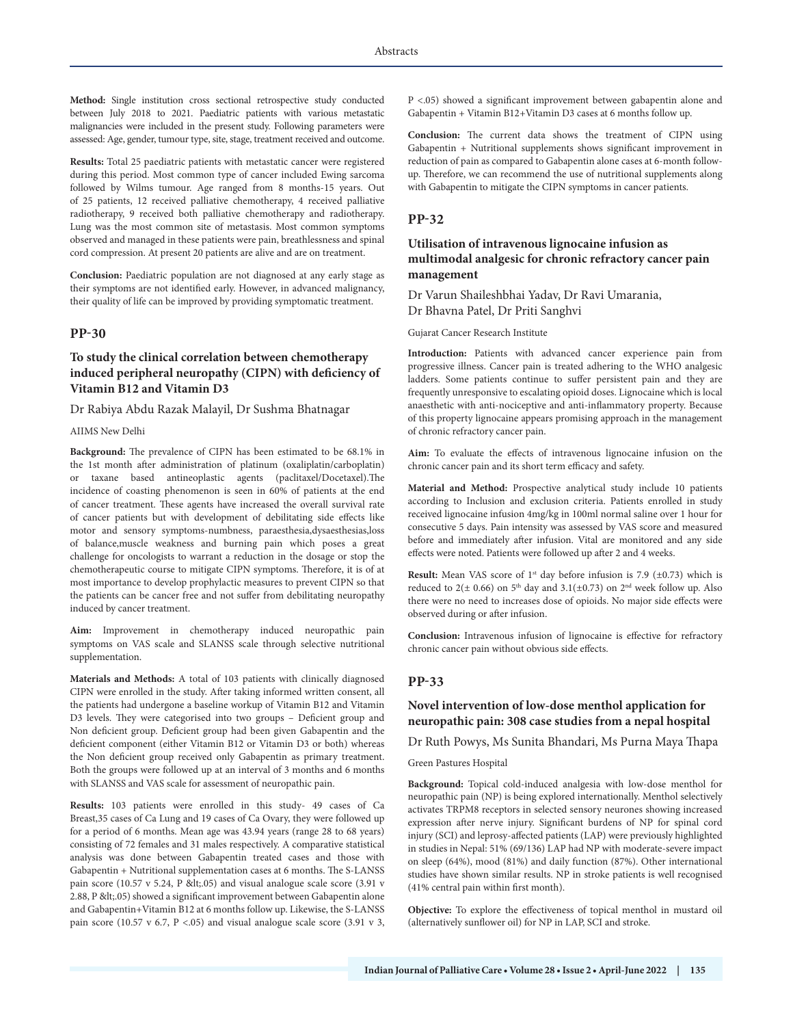**Method:** Single institution cross sectional retrospective study conducted between July 2018 to 2021. Paediatric patients with various metastatic malignancies were included in the present study. Following parameters were assessed: Age, gender, tumour type, site, stage, treatment received and outcome.

**Results:** Total 25 paediatric patients with metastatic cancer were registered during this period. Most common type of cancer included Ewing sarcoma followed by Wilms tumour. Age ranged from 8 months-15 years. Out of 25 patients, 12 received palliative chemotherapy, 4 received palliative radiotherapy, 9 received both palliative chemotherapy and radiotherapy. Lung was the most common site of metastasis. Most common symptoms observed and managed in these patients were pain, breathlessness and spinal cord compression. At present 20 patients are alive and are on treatment.

**Conclusion:** Paediatric population are not diagnosed at any early stage as their symptoms are not identified early. However, in advanced malignancy, their quality of life can be improved by providing symptomatic treatment.

#### **PP-30**

# **To study the clinical correlation between chemotherapy induced peripheral neuropathy (CIPN) with deficiency of Vitamin B12 and Vitamin D3**

#### Dr Rabiya Abdu Razak Malayil, Dr Sushma Bhatnagar

#### AIIMS New Delhi

**Background:** The prevalence of CIPN has been estimated to be 68.1% in the 1st month after administration of platinum (oxaliplatin/carboplatin) or taxane based antineoplastic agents (paclitaxel/Docetaxel).The incidence of coasting phenomenon is seen in 60% of patients at the end of cancer treatment. These agents have increased the overall survival rate of cancer patients but with development of debilitating side effects like motor and sensory symptoms-numbness, paraesthesia,dysaesthesias,loss of balance,muscle weakness and burning pain which poses a great challenge for oncologists to warrant a reduction in the dosage or stop the chemotherapeutic course to mitigate CIPN symptoms. Therefore, it is of at most importance to develop prophylactic measures to prevent CIPN so that the patients can be cancer free and not suffer from debilitating neuropathy induced by cancer treatment.

**Aim:** Improvement in chemotherapy induced neuropathic pain symptoms on VAS scale and SLANSS scale through selective nutritional supplementation.

**Materials and Methods:** A total of 103 patients with clinically diagnosed CIPN were enrolled in the study. After taking informed written consent, all the patients had undergone a baseline workup of Vitamin B12 and Vitamin D3 levels. They were categorised into two groups – Deficient group and Non deficient group. Deficient group had been given Gabapentin and the deficient component (either Vitamin B12 or Vitamin D3 or both) whereas the Non deficient group received only Gabapentin as primary treatment. Both the groups were followed up at an interval of 3 months and 6 months with SLANSS and VAS scale for assessment of neuropathic pain.

**Results:** 103 patients were enrolled in this study- 49 cases of Ca Breast,35 cases of Ca Lung and 19 cases of Ca Ovary, they were followed up for a period of 6 months. Mean age was 43.94 years (range 28 to 68 years) consisting of 72 females and 31 males respectively. A comparative statistical analysis was done between Gabapentin treated cases and those with Gabapentin + Nutritional supplementation cases at 6 months. The S-LANSS pain score (10.57 v 5.24, P < 05) and visual analogue scale score (3.91 v 2.88, P < 05) showed a significant improvement between Gabapentin alone and Gabapentin+Vitamin B12 at 6 months follow up. Likewise, the S-LANSS pain score (10.57 v 6.7,  $P < 0.05$ ) and visual analogue scale score (3.91 v 3,

P <.05) showed a significant improvement between gabapentin alone and Gabapentin + Vitamin B12+Vitamin D3 cases at 6 months follow up.

**Conclusion:** The current data shows the treatment of CIPN using Gabapentin + Nutritional supplements shows significant improvement in reduction of pain as compared to Gabapentin alone cases at 6-month followup. Therefore, we can recommend the use of nutritional supplements along with Gabapentin to mitigate the CIPN symptoms in cancer patients.

### **PP-32**

# **Utilisation of intravenous lignocaine infusion as multimodal analgesic for chronic refractory cancer pain management**

Dr Varun Shaileshbhai Yadav, Dr Ravi Umarania, Dr Bhavna Patel, Dr Priti Sanghvi

Gujarat Cancer Research Institute

**Introduction:** Patients with advanced cancer experience pain from progressive illness. Cancer pain is treated adhering to the WHO analgesic ladders. Some patients continue to suffer persistent pain and they are frequently unresponsive to escalating opioid doses. Lignocaine which is local anaesthetic with anti-nociceptive and anti-inflammatory property. Because of this property lignocaine appears promising approach in the management of chronic refractory cancer pain.

**Aim:** To evaluate the effects of intravenous lignocaine infusion on the chronic cancer pain and its short term efficacy and safety.

**Material and Method:** Prospective analytical study include 10 patients according to Inclusion and exclusion criteria. Patients enrolled in study received lignocaine infusion 4mg/kg in 100ml normal saline over 1 hour for consecutive 5 days. Pain intensity was assessed by VAS score and measured before and immediately after infusion. Vital are monitored and any side effects were noted. Patients were followed up after 2 and 4 weeks.

**Result:** Mean VAS score of  $1<sup>st</sup>$  day before infusion is 7.9 ( $\pm$ 0.73) which is reduced to 2( $\pm$  0.66) on 5<sup>th</sup> day and 3.1( $\pm$ 0.73) on 2<sup>nd</sup> week follow up. Also there were no need to increases dose of opioids. No major side effects were observed during or after infusion.

**Conclusion:** Intravenous infusion of lignocaine is effective for refractory chronic cancer pain without obvious side effects.

#### **PP-33**

### **Novel intervention of low-dose menthol application for neuropathic pain: 308 case studies from a nepal hospital**

Dr Ruth Powys, Ms Sunita Bhandari, Ms Purna Maya Thapa

Green Pastures Hospital

**Background:** Topical cold-induced analgesia with low-dose menthol for neuropathic pain (NP) is being explored internationally. Menthol selectively activates TRPM8 receptors in selected sensory neurones showing increased expression after nerve injury. Significant burdens of NP for spinal cord injury (SCI) and leprosy-affected patients (LAP) were previously highlighted in studies in Nepal: 51% (69/136) LAP had NP with moderate-severe impact on sleep (64%), mood (81%) and daily function (87%). Other international studies have shown similar results. NP in stroke patients is well recognised (41% central pain within first month).

**Objective:** To explore the effectiveness of topical menthol in mustard oil (alternatively sunflower oil) for NP in LAP, SCI and stroke.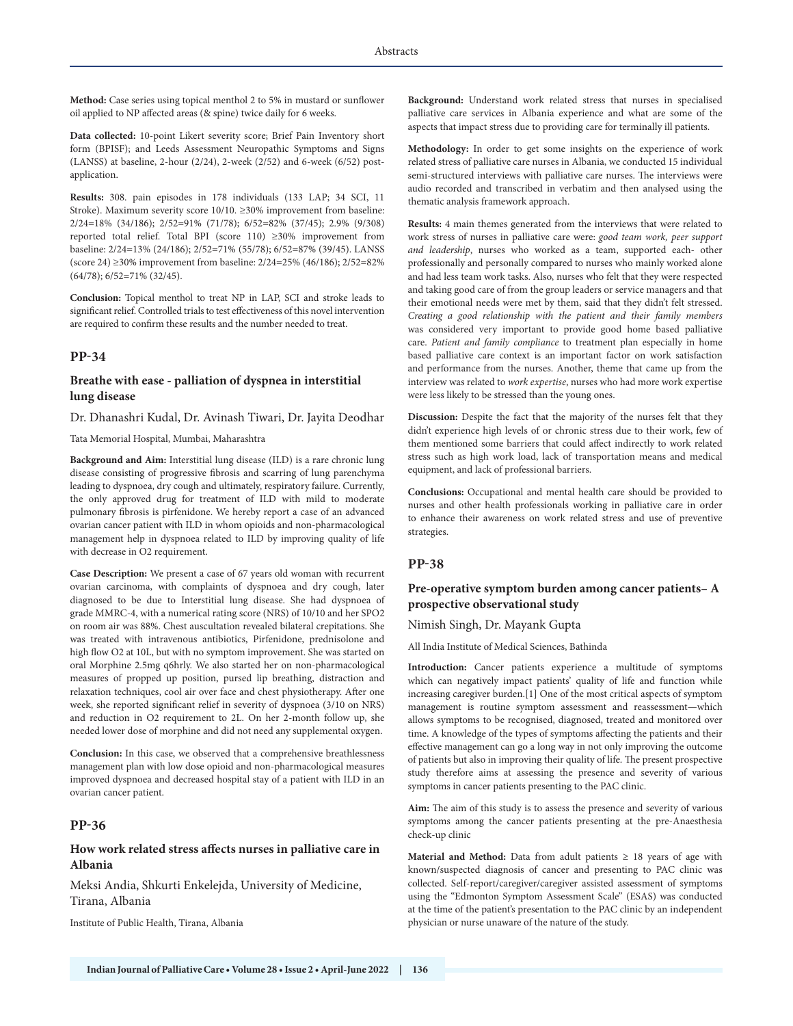**Method:** Case series using topical menthol 2 to 5% in mustard or sunflower oil applied to NP affected areas (& spine) twice daily for 6 weeks.

**Data collected:** 10-point Likert severity score; Brief Pain Inventory short form (BPISF); and Leeds Assessment Neuropathic Symptoms and Signs (LANSS) at baseline, 2-hour (2/24), 2-week (2/52) and 6-week (6/52) postapplication.

**Results:** 308. pain episodes in 178 individuals (133 LAP; 34 SCI, 11 Stroke). Maximum severity score 10/10. ≥30% improvement from baseline: 2/24=18% (34/186); 2/52=91% (71/78); 6/52=82% (37/45); 2.9% (9/308) reported total relief. Total BPI (score 110) ≥30% improvement from baseline: 2/24=13% (24/186); 2/52=71% (55/78); 6/52=87% (39/45). LANSS (score 24) ≥30% improvement from baseline: 2/24=25% (46/186); 2/52=82% (64/78); 6/52=71% (32/45).

**Conclusion:** Topical menthol to treat NP in LAP, SCI and stroke leads to significant relief. Controlled trials to test effectiveness of this novel intervention are required to confirm these results and the number needed to treat.

### **PP-34**

### **Breathe with ease - palliation of dyspnea in interstitial lung disease**

Dr. Dhanashri Kudal, Dr. Avinash Tiwari, Dr. Jayita Deodhar

Tata Memorial Hospital, Mumbai, Maharashtra

**Background and Aim:** Interstitial lung disease (ILD) is a rare chronic lung disease consisting of progressive fibrosis and scarring of lung parenchyma leading to dyspnoea, dry cough and ultimately, respiratory failure. Currently, the only approved drug for treatment of ILD with mild to moderate pulmonary fibrosis is pirfenidone. We hereby report a case of an advanced ovarian cancer patient with ILD in whom opioids and non-pharmacological management help in dyspnoea related to ILD by improving quality of life with decrease in O2 requirement.

**Case Description:** We present a case of 67 years old woman with recurrent ovarian carcinoma, with complaints of dyspnoea and dry cough, later diagnosed to be due to Interstitial lung disease. She had dyspnoea of grade MMRC-4, with a numerical rating score (NRS) of 10/10 and her SPO2 on room air was 88%. Chest auscultation revealed bilateral crepitations. She was treated with intravenous antibiotics, Pirfenidone, prednisolone and high flow O2 at 10L, but with no symptom improvement. She was started on oral Morphine 2.5mg q6hrly. We also started her on non-pharmacological measures of propped up position, pursed lip breathing, distraction and relaxation techniques, cool air over face and chest physiotherapy. After one week, she reported significant relief in severity of dyspnoea (3/10 on NRS) and reduction in O2 requirement to 2L. On her 2-month follow up, she needed lower dose of morphine and did not need any supplemental oxygen.

**Conclusion:** In this case, we observed that a comprehensive breathlessness management plan with low dose opioid and non-pharmacological measures improved dyspnoea and decreased hospital stay of a patient with ILD in an ovarian cancer patient.

# **PP-36**

# **How work related stress affects nurses in palliative care in Albania**

Meksi Andia, Shkurti Enkelejda, University of Medicine, Tirana, Albania

Institute of Public Health, Tirana, Albania

**Background:** Understand work related stress that nurses in specialised palliative care services in Albania experience and what are some of the aspects that impact stress due to providing care for terminally ill patients.

**Methodology:** In order to get some insights on the experience of work related stress of palliative care nurses in Albania, we conducted 15 individual semi-structured interviews with palliative care nurses. The interviews were audio recorded and transcribed in verbatim and then analysed using the thematic analysis framework approach.

**Results:** 4 main themes generated from the interviews that were related to work stress of nurses in palliative care were: *good team work, peer support and leadership*, nurses who worked as a team, supported each- other professionally and personally compared to nurses who mainly worked alone and had less team work tasks. Also, nurses who felt that they were respected and taking good care of from the group leaders or service managers and that their emotional needs were met by them, said that they didn't felt stressed. *Creating a good relationship with the patient and their family members* was considered very important to provide good home based palliative care. *Patient and family compliance* to treatment plan especially in home based palliative care context is an important factor on work satisfaction and performance from the nurses. Another, theme that came up from the interview was related to *work expertise*, nurses who had more work expertise were less likely to be stressed than the young ones.

**Discussion:** Despite the fact that the majority of the nurses felt that they didn't experience high levels of or chronic stress due to their work, few of them mentioned some barriers that could affect indirectly to work related stress such as high work load, lack of transportation means and medical equipment, and lack of professional barriers.

**Conclusions:** Occupational and mental health care should be provided to nurses and other health professionals working in palliative care in order to enhance their awareness on work related stress and use of preventive strategies.

### **PP-38**

### **Pre-operative symptom burden among cancer patients– A prospective observational study**

Nimish Singh, Dr. Mayank Gupta

All India Institute of Medical Sciences, Bathinda

**Introduction:** Cancer patients experience a multitude of symptoms which can negatively impact patients' quality of life and function while increasing caregiver burden.[1] One of the most critical aspects of symptom management is routine symptom assessment and reassessment—which allows symptoms to be recognised, diagnosed, treated and monitored over time. A knowledge of the types of symptoms affecting the patients and their effective management can go a long way in not only improving the outcome of patients but also in improving their quality of life. The present prospective study therefore aims at assessing the presence and severity of various symptoms in cancer patients presenting to the PAC clinic.

**Aim:** The aim of this study is to assess the presence and severity of various symptoms among the cancer patients presenting at the pre-Anaesthesia check-up clinic

**Material and Method:** Data from adult patients  $\geq$  18 years of age with known/suspected diagnosis of cancer and presenting to PAC clinic was collected. Self-report/caregiver/caregiver assisted assessment of symptoms using the "Edmonton Symptom Assessment Scale" (ESAS) was conducted at the time of the patient's presentation to the PAC clinic by an independent physician or nurse unaware of the nature of the study.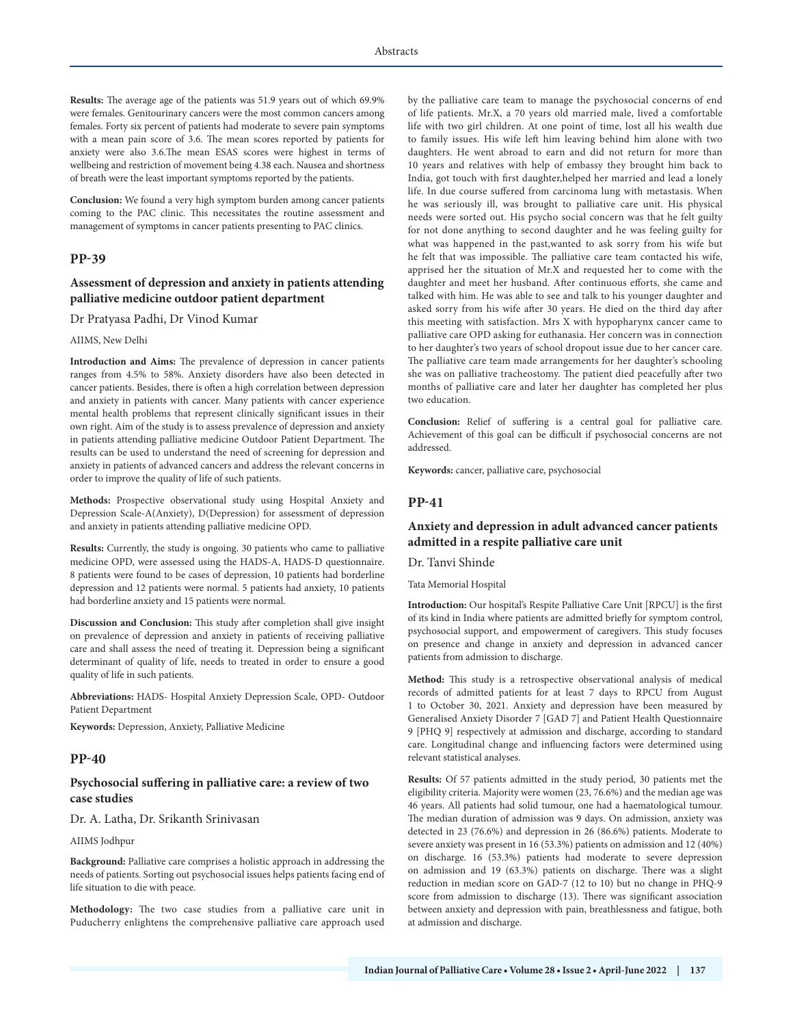**Results:** The average age of the patients was 51.9 years out of which 69.9% were females. Genitourinary cancers were the most common cancers among females. Forty six percent of patients had moderate to severe pain symptoms with a mean pain score of 3.6. The mean scores reported by patients for anxiety were also 3.6.The mean ESAS scores were highest in terms of wellbeing and restriction of movement being 4.38 each. Nausea and shortness of breath were the least important symptoms reported by the patients.

**Conclusion:** We found a very high symptom burden among cancer patients coming to the PAC clinic. This necessitates the routine assessment and management of symptoms in cancer patients presenting to PAC clinics.

#### **PP-39**

#### **Assessment of depression and anxiety in patients attending palliative medicine outdoor patient department**

#### Dr Pratyasa Padhi, Dr Vinod Kumar

#### AIIMS, New Delhi

**Introduction and Aims:** The prevalence of depression in cancer patients ranges from 4.5% to 58%. Anxiety disorders have also been detected in cancer patients. Besides, there is often a high correlation between depression and anxiety in patients with cancer. Many patients with cancer experience mental health problems that represent clinically significant issues in their own right. Aim of the study is to assess prevalence of depression and anxiety in patients attending palliative medicine Outdoor Patient Department. The results can be used to understand the need of screening for depression and anxiety in patients of advanced cancers and address the relevant concerns in order to improve the quality of life of such patients.

**Methods:** Prospective observational study using Hospital Anxiety and Depression Scale-A(Anxiety), D(Depression) for assessment of depression and anxiety in patients attending palliative medicine OPD.

**Results:** Currently, the study is ongoing. 30 patients who came to palliative medicine OPD, were assessed using the HADS-A, HADS-D questionnaire. 8 patients were found to be cases of depression, 10 patients had borderline depression and 12 patients were normal. 5 patients had anxiety, 10 patients had borderline anxiety and 15 patients were normal.

**Discussion and Conclusion:** This study after completion shall give insight on prevalence of depression and anxiety in patients of receiving palliative care and shall assess the need of treating it. Depression being a significant determinant of quality of life, needs to treated in order to ensure a good quality of life in such patients.

**Abbreviations:** HADS- Hospital Anxiety Depression Scale, OPD- Outdoor Patient Department

**Keywords:** Depression, Anxiety, Palliative Medicine

#### **PP-40**

### **Psychosocial suffering in palliative care: a review of two case studies**

#### Dr. A. Latha, Dr. Srikanth Srinivasan

#### AIIMS Jodhpur

**Background:** Palliative care comprises a holistic approach in addressing the needs of patients. Sorting out psychosocial issues helps patients facing end of life situation to die with peace.

**Methodology:** The two case studies from a palliative care unit in Puducherry enlightens the comprehensive palliative care approach used by the palliative care team to manage the psychosocial concerns of end of life patients. Mr.X, a 70 years old married male, lived a comfortable life with two girl children. At one point of time, lost all his wealth due to family issues. His wife left him leaving behind him alone with two daughters. He went abroad to earn and did not return for more than 10 years and relatives with help of embassy they brought him back to India, got touch with first daughter,helped her married and lead a lonely life. In due course suffered from carcinoma lung with metastasis. When he was seriously ill, was brought to palliative care unit. His physical needs were sorted out. His psycho social concern was that he felt guilty for not done anything to second daughter and he was feeling guilty for what was happened in the past,wanted to ask sorry from his wife but he felt that was impossible. The palliative care team contacted his wife, apprised her the situation of Mr.X and requested her to come with the daughter and meet her husband. After continuous efforts, she came and talked with him. He was able to see and talk to his younger daughter and asked sorry from his wife after 30 years. He died on the third day after this meeting with satisfaction. Mrs X with hypopharynx cancer came to palliative care OPD asking for euthanasia. Her concern was in connection to her daughter's two years of school dropout issue due to her cancer care. The palliative care team made arrangements for her daughter's schooling she was on palliative tracheostomy. The patient died peacefully after two months of palliative care and later her daughter has completed her plus two education.

**Conclusion:** Relief of suffering is a central goal for palliative care. Achievement of this goal can be difficult if psychosocial concerns are not addressed.

**Keywords:** cancer, palliative care, psychosocial

### **PP-41**

### **Anxiety and depression in adult advanced cancer patients admitted in a respite palliative care unit**

Dr. Tanvi Shinde

Tata Memorial Hospital

**Introduction:** Our hospital's Respite Palliative Care Unit [RPCU] is the first of its kind in India where patients are admitted briefly for symptom control, psychosocial support, and empowerment of caregivers. This study focuses on presence and change in anxiety and depression in advanced cancer patients from admission to discharge.

**Method:** This study is a retrospective observational analysis of medical records of admitted patients for at least 7 days to RPCU from August 1 to October 30, 2021. Anxiety and depression have been measured by Generalised Anxiety Disorder 7 [GAD 7] and Patient Health Questionnaire 9 [PHQ 9] respectively at admission and discharge, according to standard care. Longitudinal change and influencing factors were determined using relevant statistical analyses.

**Results:** Of 57 patients admitted in the study period, 30 patients met the eligibility criteria. Majority were women (23, 76.6%) and the median age was 46 years. All patients had solid tumour, one had a haematological tumour. The median duration of admission was 9 days. On admission, anxiety was detected in 23 (76.6%) and depression in 26 (86.6%) patients. Moderate to severe anxiety was present in 16 (53.3%) patients on admission and 12 (40%) on discharge. 16 (53.3%) patients had moderate to severe depression on admission and 19 (63.3%) patients on discharge. There was a slight reduction in median score on GAD-7 (12 to 10) but no change in PHQ-9 score from admission to discharge (13). There was significant association between anxiety and depression with pain, breathlessness and fatigue, both at admission and discharge.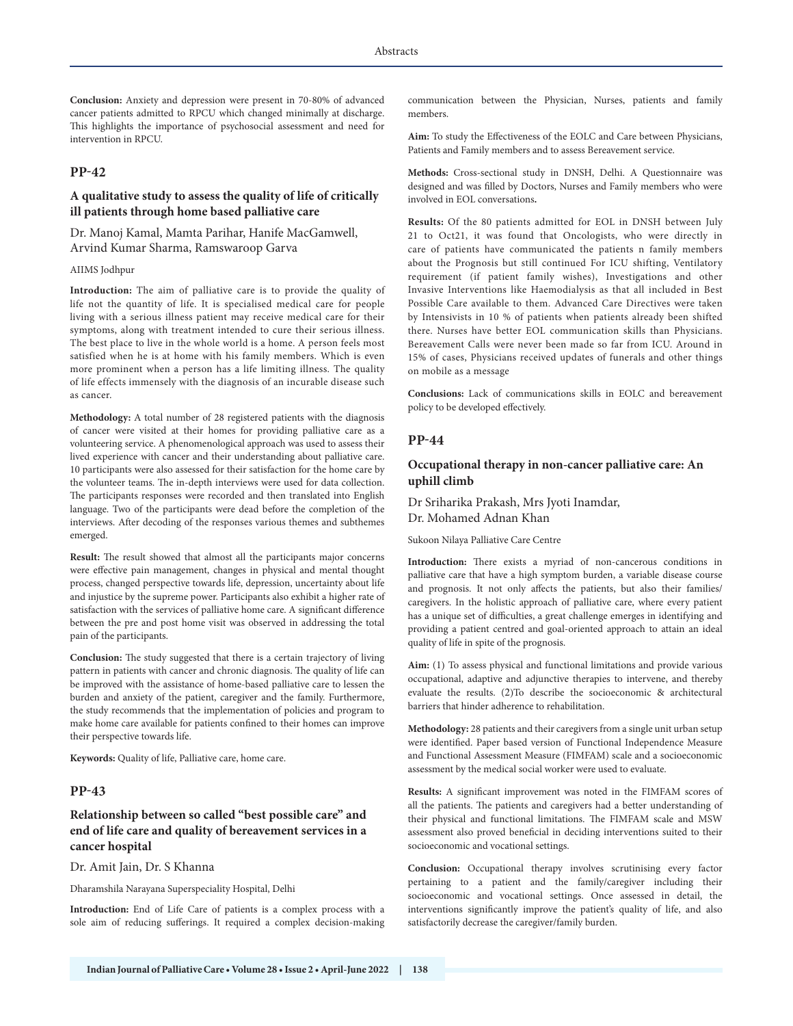**Conclusion:** Anxiety and depression were present in 70-80% of advanced cancer patients admitted to RPCU which changed minimally at discharge. This highlights the importance of psychosocial assessment and need for intervention in RPCU.

# **PP-42**

### **A qualitative study to assess the quality of life of critically ill patients through home based palliative care**

Dr. Manoj Kamal, Mamta Parihar, Hanife MacGamwell, Arvind Kumar Sharma, Ramswaroop Garva

#### AIIMS Jodhpur

**Introduction:** The aim of palliative care is to provide the quality of life not the quantity of life. It is specialised medical care for people living with a serious illness patient may receive medical care for their symptoms, along with treatment intended to cure their serious illness. The best place to live in the whole world is a home. A person feels most satisfied when he is at home with his family members. Which is even more prominent when a person has a life limiting illness. The quality of life effects immensely with the diagnosis of an incurable disease such as cancer.

**Methodology:** A total number of 28 registered patients with the diagnosis of cancer were visited at their homes for providing palliative care as a volunteering service. A phenomenological approach was used to assess their lived experience with cancer and their understanding about palliative care. 10 participants were also assessed for their satisfaction for the home care by the volunteer teams. The in-depth interviews were used for data collection. The participants responses were recorded and then translated into English language. Two of the participants were dead before the completion of the interviews. After decoding of the responses various themes and subthemes emerged.

**Result:** The result showed that almost all the participants major concerns were effective pain management, changes in physical and mental thought process, changed perspective towards life, depression, uncertainty about life and injustice by the supreme power. Participants also exhibit a higher rate of satisfaction with the services of palliative home care. A significant difference between the pre and post home visit was observed in addressing the total pain of the participants.

**Conclusion:** The study suggested that there is a certain trajectory of living pattern in patients with cancer and chronic diagnosis. The quality of life can be improved with the assistance of home-based palliative care to lessen the burden and anxiety of the patient, caregiver and the family. Furthermore, the study recommends that the implementation of policies and program to make home care available for patients confined to their homes can improve their perspective towards life.

**Keywords:** Quality of life, Palliative care, home care.

#### **PP-43**

# **Relationship between so called "best possible care" and end of life care and quality of bereavement services in a cancer hospital**

#### Dr. Amit Jain, Dr. S Khanna

Dharamshila Narayana Superspeciality Hospital, Delhi

**Introduction:** End of Life Care of patients is a complex process with a sole aim of reducing sufferings. It required a complex decision-making communication between the Physician, Nurses, patients and family members.

**Aim:** To study the Effectiveness of the EOLC and Care between Physicians, Patients and Family members and to assess Bereavement service.

**Methods:** Cross-sectional study in DNSH, Delhi. A Questionnaire was designed and was filled by Doctors, Nurses and Family members who were involved in EOL conversations**.**

**Results:** Of the 80 patients admitted for EOL in DNSH between July 21 to Oct21, it was found that Oncologists, who were directly in care of patients have communicated the patients n family members about the Prognosis but still continued For ICU shifting, Ventilatory requirement (if patient family wishes), Investigations and other Invasive Interventions like Haemodialysis as that all included in Best Possible Care available to them. Advanced Care Directives were taken by Intensivists in 10 % of patients when patients already been shifted there. Nurses have better EOL communication skills than Physicians. Bereavement Calls were never been made so far from ICU. Around in 15% of cases, Physicians received updates of funerals and other things on mobile as a message

**Conclusions:** Lack of communications skills in EOLC and bereavement policy to be developed effectively.

#### **PP-44**

# **Occupational therapy in non-cancer palliative care: An uphill climb**

Dr Sriharika Prakash, Mrs Jyoti Inamdar, Dr. Mohamed Adnan Khan

Sukoon Nilaya Palliative Care Centre

**Introduction:** There exists a myriad of non-cancerous conditions in palliative care that have a high symptom burden, a variable disease course and prognosis. It not only affects the patients, but also their families/ caregivers. In the holistic approach of palliative care, where every patient has a unique set of difficulties, a great challenge emerges in identifying and providing a patient centred and goal-oriented approach to attain an ideal quality of life in spite of the prognosis.

**Aim:** (1) To assess physical and functional limitations and provide various occupational, adaptive and adjunctive therapies to intervene, and thereby evaluate the results. (2)To describe the socioeconomic & architectural barriers that hinder adherence to rehabilitation.

**Methodology:** 28 patients and their caregivers from a single unit urban setup were identified. Paper based version of Functional Independence Measure and Functional Assessment Measure (FIMFAM) scale and a socioeconomic assessment by the medical social worker were used to evaluate.

**Results:** A significant improvement was noted in the FIMFAM scores of all the patients. The patients and caregivers had a better understanding of their physical and functional limitations. The FIMFAM scale and MSW assessment also proved beneficial in deciding interventions suited to their socioeconomic and vocational settings.

**Conclusion:** Occupational therapy involves scrutinising every factor pertaining to a patient and the family/caregiver including their socioeconomic and vocational settings. Once assessed in detail, the interventions significantly improve the patient's quality of life, and also satisfactorily decrease the caregiver/family burden.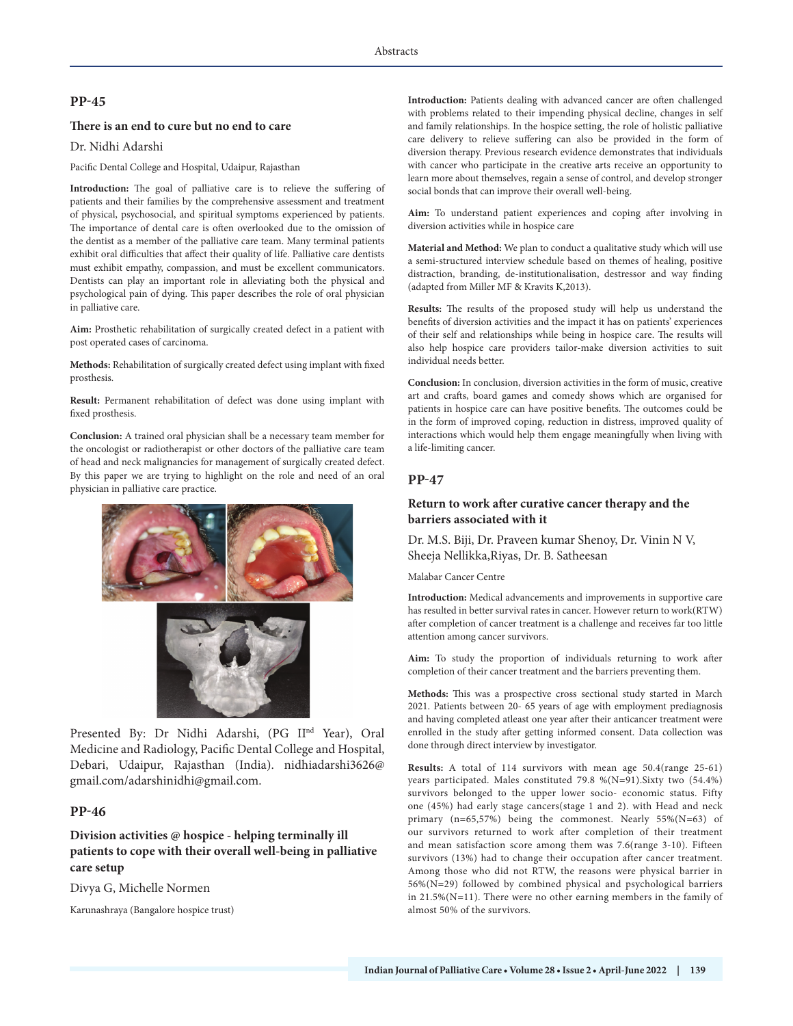# **PP-45**

# **There is an end to cure but no end to care**

Dr. Nidhi Adarshi

Pacific Dental College and Hospital, Udaipur, Rajasthan

**Introduction:** The goal of palliative care is to relieve the suffering of patients and their families by the comprehensive assessment and treatment of physical, psychosocial, and spiritual symptoms experienced by patients. The importance of dental care is often overlooked due to the omission of the dentist as a member of the palliative care team. Many terminal patients exhibit oral difficulties that affect their quality of life. Palliative care dentists must exhibit empathy, compassion, and must be excellent communicators. Dentists can play an important role in alleviating both the physical and psychological pain of dying. This paper describes the role of oral physician in palliative care.

**Aim:** Prosthetic rehabilitation of surgically created defect in a patient with post operated cases of carcinoma.

**Methods:** Rehabilitation of surgically created defect using implant with fixed prosthesis.

**Result:** Permanent rehabilitation of defect was done using implant with fixed prosthesis.

**Conclusion:** A trained oral physician shall be a necessary team member for the oncologist or radiotherapist or other doctors of the palliative care team of head and neck malignancies for management of surgically created defect. By this paper we are trying to highlight on the role and need of an oral physician in palliative care practice.



Presented By: Dr Nidhi Adarshi, (PG IInd Year), Oral Medicine and Radiology, Pacific Dental College and Hospital, Debari, Udaipur, Rajasthan (India). nidhiadarshi3626@ gmail.com/adarshinidhi@gmail.com.

# **PP-46**

# **Division activities @ hospice - helping terminally ill patients to cope with their overall well-being in palliative care setup**

Divya G, Michelle Normen

Karunashraya (Bangalore hospice trust)

**Introduction:** Patients dealing with advanced cancer are often challenged with problems related to their impending physical decline, changes in self and family relationships. In the hospice setting, the role of holistic palliative care delivery to relieve suffering can also be provided in the form of diversion therapy. Previous research evidence demonstrates that individuals with cancer who participate in the creative arts receive an opportunity to learn more about themselves, regain a sense of control, and develop stronger social bonds that can improve their overall well-being.

**Aim:** To understand patient experiences and coping after involving in diversion activities while in hospice care

**Material and Method:** We plan to conduct a qualitative study which will use a semi-structured interview schedule based on themes of healing, positive distraction, branding, de-institutionalisation, destressor and way finding (adapted from Miller MF & Kravits K,2013).

**Results:** The results of the proposed study will help us understand the benefits of diversion activities and the impact it has on patients' experiences of their self and relationships while being in hospice care. The results will also help hospice care providers tailor-make diversion activities to suit individual needs better.

**Conclusion:** In conclusion, diversion activities in the form of music, creative art and crafts, board games and comedy shows which are organised for patients in hospice care can have positive benefits. The outcomes could be in the form of improved coping, reduction in distress, improved quality of interactions which would help them engage meaningfully when living with a life-limiting cancer.

# **PP-47**

# **Return to work after curative cancer therapy and the barriers associated with it**

Dr. M.S. Biji, Dr. Praveen kumar Shenoy, Dr. Vinin N V, Sheeja Nellikka,Riyas, Dr. B. Satheesan

Malabar Cancer Centre

**Introduction:** Medical advancements and improvements in supportive care has resulted in better survival rates in cancer. However return to work(RTW) after completion of cancer treatment is a challenge and receives far too little attention among cancer survivors.

**Aim:** To study the proportion of individuals returning to work after completion of their cancer treatment and the barriers preventing them.

**Methods:** This was a prospective cross sectional study started in March 2021. Patients between 20- 65 years of age with employment prediagnosis and having completed atleast one year after their anticancer treatment were enrolled in the study after getting informed consent. Data collection was done through direct interview by investigator.

**Results:** A total of 114 survivors with mean age 50.4(range 25-61) years participated. Males constituted 79.8 %(N=91).Sixty two (54.4%) survivors belonged to the upper lower socio- economic status. Fifty one (45%) had early stage cancers(stage 1 and 2). with Head and neck primary (n=65,57%) being the commonest. Nearly 55%(N=63) of our survivors returned to work after completion of their treatment and mean satisfaction score among them was 7.6(range 3-10). Fifteen survivors (13%) had to change their occupation after cancer treatment. Among those who did not RTW, the reasons were physical barrier in 56%(N=29) followed by combined physical and psychological barriers in 21.5%(N=11). There were no other earning members in the family of almost 50% of the survivors.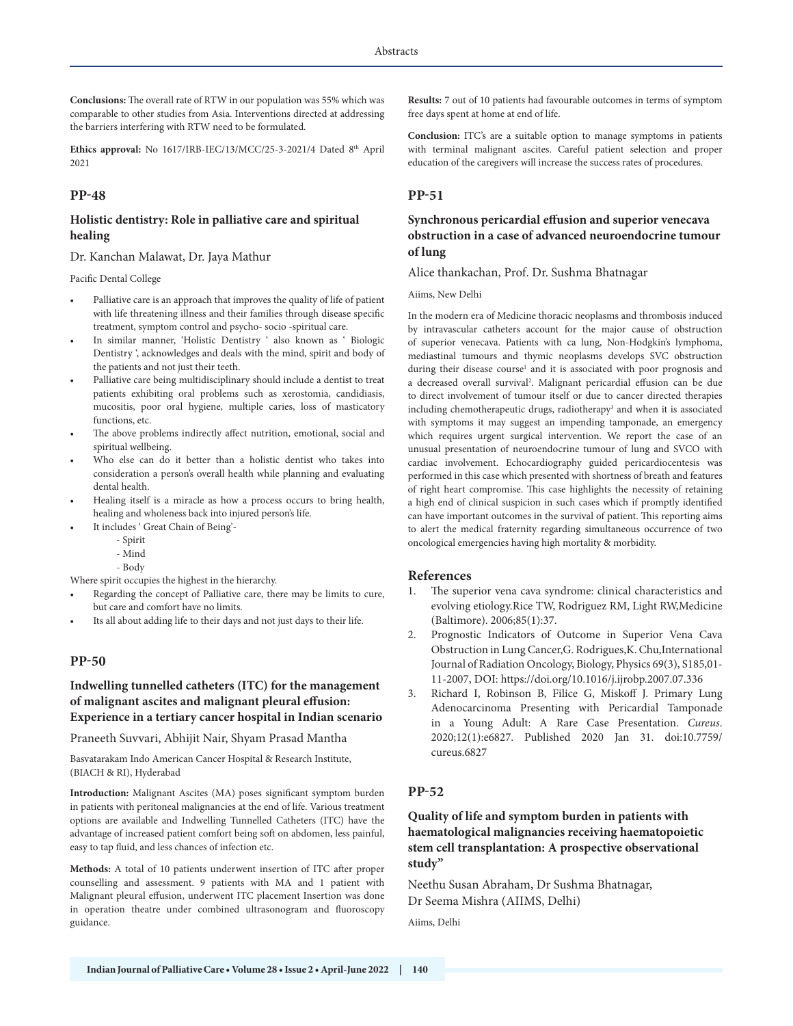**Conclusions:** The overall rate of RTW in our population was 55% which was comparable to other studies from Asia. Interventions directed at addressing the barriers interfering with RTW need to be formulated.

Ethics approval: No 1617/IRB-IEC/13/MCC/25-3-2021/4 Dated 8<sup>th</sup> April 2021

# **PP-48**

# **Holistic dentistry: Role in palliative care and spiritual healing**

Dr. Kanchan Malawat, Dr. Jaya Mathur

Pacific Dental College

- Palliative care is an approach that improves the quality of life of patient with life threatening illness and their families through disease specific treatment, symptom control and psycho- socio -spiritual care.
- In similar manner, 'Holistic Dentistry ' also known as ' Biologic Dentistry ', acknowledges and deals with the mind, spirit and body of the patients and not just their teeth.
- Palliative care being multidisciplinary should include a dentist to treat patients exhibiting oral problems such as xerostomia, candidiasis, mucositis, poor oral hygiene, multiple caries, loss of masticatory functions, etc.
- The above problems indirectly affect nutrition, emotional, social and spiritual wellbeing.
- Who else can do it better than a holistic dentist who takes into consideration a person's overall health while planning and evaluating dental health.
- Healing itself is a miracle as how a process occurs to bring health, healing and wholeness back into injured person's life.
- It includes ' Great Chain of Being'-
	- Spirit
	- Mind
	- Body

Where spirit occupies the highest in the hierarchy.

- Regarding the concept of Palliative care, there may be limits to cure, but care and comfort have no limits.
- Its all about adding life to their days and not just days to their life.

### **PP-50**

# **Indwelling tunnelled catheters (ITC) for the management of malignant ascites and malignant pleural effusion: Experience in a tertiary cancer hospital in Indian scenario**

Praneeth Suvvari, Abhijit Nair, Shyam Prasad Mantha

Basvatarakam Indo American Cancer Hospital & Research Institute, (BIACH & RI), Hyderabad

**Introduction:** Malignant Ascites (MA) poses significant symptom burden in patients with peritoneal malignancies at the end of life. Various treatment options are available and Indwelling Tunnelled Catheters (ITC) have the advantage of increased patient comfort being soft on abdomen, less painful, easy to tap fluid, and less chances of infection etc.

**Methods:** A total of 10 patients underwent insertion of ITC after proper counselling and assessment. 9 patients with MA and 1 patient with Malignant pleural effusion, underwent ITC placement Insertion was done in operation theatre under combined ultrasonogram and fluoroscopy guidance.

**Results:** 7 out of 10 patients had favourable outcomes in terms of symptom free days spent at home at end of life.

**Conclusion:** ITC's are a suitable option to manage symptoms in patients with terminal malignant ascites. Careful patient selection and proper education of the caregivers will increase the success rates of procedures.

# **PP-51**

# **Synchronous pericardial effusion and superior venecava obstruction in a case of advanced neuroendocrine tumour of lung**

Alice thankachan, Prof. Dr. Sushma Bhatnagar

#### Aiims, New Delhi

In the modern era of Medicine thoracic neoplasms and thrombosis induced by intravascular catheters account for the major cause of obstruction of superior venecava. Patients with ca lung, Non-Hodgkin's lymphoma, mediastinal tumours and thymic neoplasms develops SVC obstruction during their disease course<sup>1</sup> and it is associated with poor prognosis and a decreased overall survival2 . Malignant pericardial effusion can be due to direct involvement of tumour itself or due to cancer directed therapies including chemotherapeutic drugs, radiotherapy<sup>3</sup> and when it is associated with symptoms it may suggest an impending tamponade, an emergency which requires urgent surgical intervention. We report the case of an unusual presentation of neuroendocrine tumour of lung and SVCO with cardiac involvement. Echocardiography guided pericardiocentesis was performed in this case which presented with shortness of breath and features of right heart compromise. This case highlights the necessity of retaining a high end of clinical suspicion in such cases which if promptly identified can have important outcomes in the survival of patient. This reporting aims to alert the medical fraternity regarding simultaneous occurrence of two oncological emergencies having high mortality & morbidity.

#### **References**

- 1. The superior vena cava syndrome: clinical characteristics and evolving etiology.Rice TW, Rodriguez RM, Light RW,Medicine (Baltimore). 2006;85(1):37.
- 2. Prognostic Indicators of Outcome in Superior Vena Cava Obstruction in Lung Cancer,G. Rodrigues,K. Chu,International Journal of Radiation Oncology, Biology, Physics 69(3), S185,01- 11-2007, DOI: https://doi.org/10.1016/j.ijrobp.2007.07.336
- 3. Richard I, Robinson B, Filice G, Miskoff J. Primary Lung Adenocarcinoma Presenting with Pericardial Tamponade in a Young Adult: A Rare Case Presentation. *Cureus*. 2020;12(1):e6827. Published 2020 Jan 31. doi:10.7759/ cureus.6827

# **PP-52**

# **Quality of life and symptom burden in patients with haematological malignancies receiving haematopoietic stem cell transplantation: A prospective observational study"**

Neethu Susan Abraham, Dr Sushma Bhatnagar, Dr Seema Mishra (AIIMS, Delhi)

Aiims, Delhi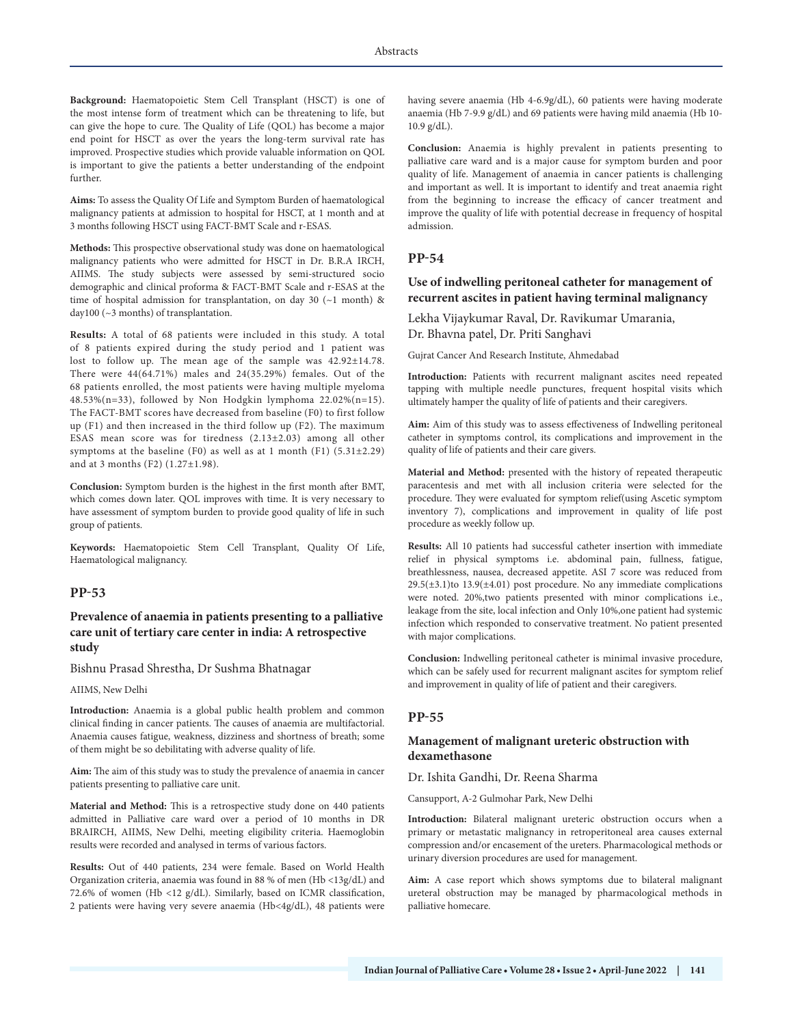**Background:** Haematopoietic Stem Cell Transplant (HSCT) is one of the most intense form of treatment which can be threatening to life, but can give the hope to cure. The Quality of Life (QOL) has become a major end point for HSCT as over the years the long-term survival rate has improved. Prospective studies which provide valuable information on QOL is important to give the patients a better understanding of the endpoint further.

**Aims:** To assess the Quality Of Life and Symptom Burden of haematological malignancy patients at admission to hospital for HSCT, at 1 month and at 3 months following HSCT using FACT-BMT Scale and r-ESAS.

**Methods:** This prospective observational study was done on haematological malignancy patients who were admitted for HSCT in Dr. B.R.A IRCH, AIIMS. The study subjects were assessed by semi-structured socio demographic and clinical proforma & FACT-BMT Scale and r-ESAS at the time of hospital admission for transplantation, on day 30 (~1 month) & day100 (~3 months) of transplantation.

**Results:** A total of 68 patients were included in this study. A total of 8 patients expired during the study period and 1 patient was lost to follow up. The mean age of the sample was 42.92±14.78. There were 44(64.71%) males and 24(35.29%) females. Out of the 68 patients enrolled, the most patients were having multiple myeloma 48.53%(n=33), followed by Non Hodgkin lymphoma 22.02%(n=15). The FACT-BMT scores have decreased from baseline (F0) to first follow up (F1) and then increased in the third follow up (F2). The maximum ESAS mean score was for tiredness (2.13±2.03) among all other symptoms at the baseline (F0) as well as at 1 month (F1)  $(5.31\pm2.29)$ and at 3 months (F2) (1.27±1.98).

**Conclusion:** Symptom burden is the highest in the first month after BMT, which comes down later. QOL improves with time. It is very necessary to have assessment of symptom burden to provide good quality of life in such group of patients.

**Keywords:** Haematopoietic Stem Cell Transplant, Quality Of Life, Haematological malignancy.

#### **PP-53**

### **Prevalence of anaemia in patients presenting to a palliative care unit of tertiary care center in india: A retrospective study**

Bishnu Prasad Shrestha, Dr Sushma Bhatnagar

AIIMS, New Delhi

**Introduction:** Anaemia is a global public health problem and common clinical finding in cancer patients. The causes of anaemia are multifactorial. Anaemia causes fatigue, weakness, dizziness and shortness of breath; some of them might be so debilitating with adverse quality of life.

**Aim:** The aim of this study was to study the prevalence of anaemia in cancer patients presenting to palliative care unit.

**Material and Method:** This is a retrospective study done on 440 patients admitted in Palliative care ward over a period of 10 months in DR BRAIRCH, AIIMS, New Delhi, meeting eligibility criteria. Haemoglobin results were recorded and analysed in terms of various factors.

**Results:** Out of 440 patients, 234 were female. Based on World Health Organization criteria, anaemia was found in 88 % of men (Hb <13g/dL) and 72.6% of women (Hb <12 g/dL). Similarly, based on ICMR classification, 2 patients were having very severe anaemia (Hb<4g/dL), 48 patients were having severe anaemia (Hb 4-6.9g/dL), 60 patients were having moderate anaemia (Hb 7-9.9 g/dL) and 69 patients were having mild anaemia (Hb 10- 10.9 g/dL).

**Conclusion:** Anaemia is highly prevalent in patients presenting to palliative care ward and is a major cause for symptom burden and poor quality of life. Management of anaemia in cancer patients is challenging and important as well. It is important to identify and treat anaemia right from the beginning to increase the efficacy of cancer treatment and improve the quality of life with potential decrease in frequency of hospital admission.

#### **PP-54**

# **Use of indwelling peritoneal catheter for management of recurrent ascites in patient having terminal malignancy**

### Lekha Vijaykumar Raval, Dr. Ravikumar Umarania, Dr. Bhavna patel, Dr. Priti Sanghavi

Gujrat Cancer And Research Institute, Ahmedabad

**Introduction:** Patients with recurrent malignant ascites need repeated tapping with multiple needle punctures, frequent hospital visits which ultimately hamper the quality of life of patients and their caregivers.

**Aim:** Aim of this study was to assess effectiveness of Indwelling peritoneal catheter in symptoms control, its complications and improvement in the quality of life of patients and their care givers.

**Material and Method:** presented with the history of repeated therapeutic paracentesis and met with all inclusion criteria were selected for the procedure. They were evaluated for symptom relief(using Ascetic symptom inventory 7), complications and improvement in quality of life post procedure as weekly follow up.

**Results:** All 10 patients had successful catheter insertion with immediate relief in physical symptoms i.e. abdominal pain, fullness, fatigue, breathlessness, nausea, decreased appetite. ASI 7 score was reduced from  $29.5(\pm3.1)$ to 13.9( $\pm4.01$ ) post procedure. No any immediate complications were noted. 20%,two patients presented with minor complications i.e., leakage from the site, local infection and Only 10%,one patient had systemic infection which responded to conservative treatment. No patient presented with major complications.

**Conclusion:** Indwelling peritoneal catheter is minimal invasive procedure, which can be safely used for recurrent malignant ascites for symptom relief and improvement in quality of life of patient and their caregivers.

#### **PP-55**

# **Management of malignant ureteric obstruction with dexamethasone**

Dr. Ishita Gandhi, Dr. Reena Sharma

Cansupport, A-2 Gulmohar Park, New Delhi

**Introduction:** Bilateral malignant ureteric obstruction occurs when a primary or metastatic malignancy in retroperitoneal area causes external compression and/or encasement of the ureters. Pharmacological methods or urinary diversion procedures are used for management.

**Aim:** A case report which shows symptoms due to bilateral malignant ureteral obstruction may be managed by pharmacological methods in palliative homecare.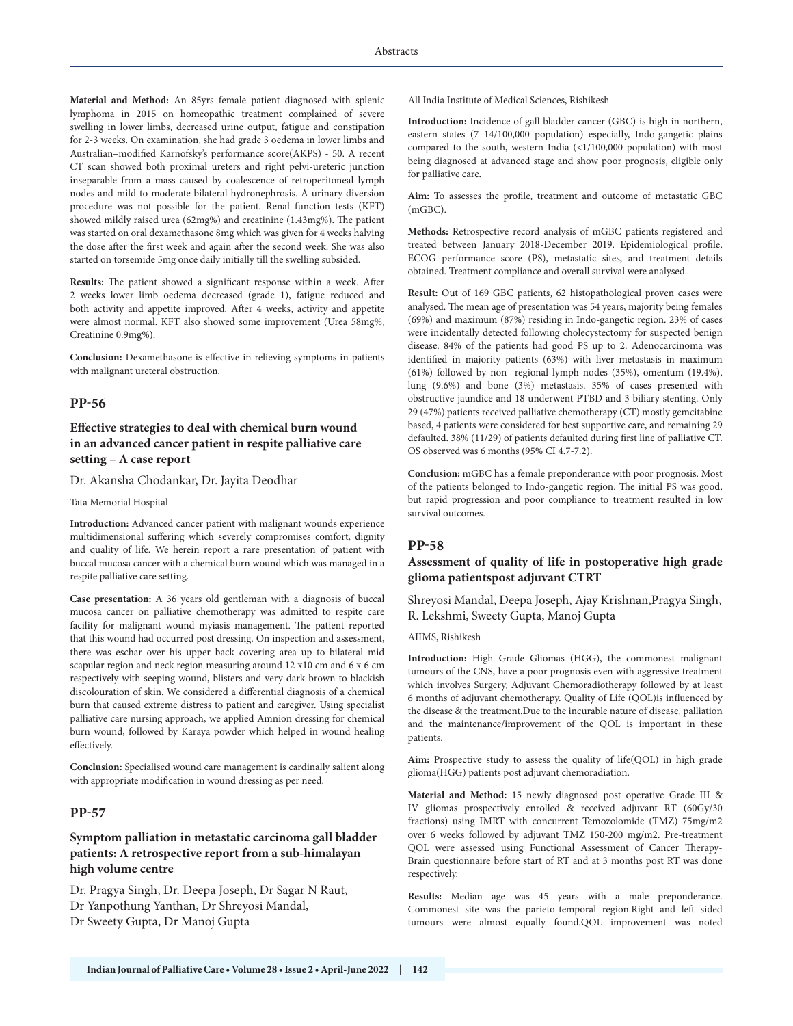**Material and Method:** An 85yrs female patient diagnosed with splenic lymphoma in 2015 on homeopathic treatment complained of severe swelling in lower limbs, decreased urine output, fatigue and constipation for 2-3 weeks. On examination, she had grade 3 oedema in lower limbs and Australian–modified Karnofsky's performance score(AKPS) - 50. A recent CT scan showed both proximal ureters and right pelvi-ureteric junction inseparable from a mass caused by coalescence of retroperitoneal lymph nodes and mild to moderate bilateral hydronephrosis. A urinary diversion procedure was not possible for the patient. Renal function tests (KFT) showed mildly raised urea (62mg%) and creatinine (1.43mg%). The patient was started on oral dexamethasone 8mg which was given for 4 weeks halving the dose after the first week and again after the second week. She was also started on torsemide 5mg once daily initially till the swelling subsided.

**Results:** The patient showed a significant response within a week. After 2 weeks lower limb oedema decreased (grade 1), fatigue reduced and both activity and appetite improved. After 4 weeks, activity and appetite were almost normal. KFT also showed some improvement (Urea 58mg%, Creatinine 0.9mg%).

**Conclusion:** Dexamethasone is effective in relieving symptoms in patients with malignant ureteral obstruction.

#### **PP-56**

# **Effective strategies to deal with chemical burn wound in an advanced cancer patient in respite palliative care setting – A case report**

Dr. Akansha Chodankar, Dr. Jayita Deodhar

#### Tata Memorial Hospital

**Introduction:** Advanced cancer patient with malignant wounds experience multidimensional suffering which severely compromises comfort, dignity and quality of life. We herein report a rare presentation of patient with buccal mucosa cancer with a chemical burn wound which was managed in a respite palliative care setting.

**Case presentation:** A 36 years old gentleman with a diagnosis of buccal mucosa cancer on palliative chemotherapy was admitted to respite care facility for malignant wound myiasis management. The patient reported that this wound had occurred post dressing. On inspection and assessment, there was eschar over his upper back covering area up to bilateral mid scapular region and neck region measuring around 12 x10 cm and 6 x 6 cm respectively with seeping wound, blisters and very dark brown to blackish discolouration of skin. We considered a differential diagnosis of a chemical burn that caused extreme distress to patient and caregiver. Using specialist palliative care nursing approach, we applied Amnion dressing for chemical burn wound, followed by Karaya powder which helped in wound healing effectively.

**Conclusion:** Specialised wound care management is cardinally salient along with appropriate modification in wound dressing as per need.

#### **PP-57**

# **Symptom palliation in metastatic carcinoma gall bladder patients: A retrospective report from a sub-himalayan high volume centre**

Dr. Pragya Singh, Dr. Deepa Joseph, Dr Sagar N Raut, Dr Yanpothung Yanthan, Dr Shreyosi Mandal, Dr Sweety Gupta, Dr Manoj Gupta

All India Institute of Medical Sciences, Rishikesh

**Introduction:** Incidence of gall bladder cancer (GBC) is high in northern, eastern states (7–14/100,000 population) especially, Indo-gangetic plains compared to the south, western India  $(\langle 1/100,000 \rangle)$  population) with most being diagnosed at advanced stage and show poor prognosis, eligible only for palliative care.

**Aim:** To assesses the profile, treatment and outcome of metastatic GBC (mGBC).

**Methods:** Retrospective record analysis of mGBC patients registered and treated between January 2018-December 2019. Epidemiological profile, ECOG performance score (PS), metastatic sites, and treatment details obtained. Treatment compliance and overall survival were analysed.

**Result:** Out of 169 GBC patients, 62 histopathological proven cases were analysed. The mean age of presentation was 54 years, majority being females (69%) and maximum (87%) residing in Indo-gangetic region. 23% of cases were incidentally detected following cholecystectomy for suspected benign disease. 84% of the patients had good PS up to 2. Adenocarcinoma was identified in majority patients (63%) with liver metastasis in maximum (61%) followed by non -regional lymph nodes (35%), omentum (19.4%), lung (9.6%) and bone (3%) metastasis. 35% of cases presented with obstructive jaundice and 18 underwent PTBD and 3 biliary stenting. Only 29 (47%) patients received palliative chemotherapy (CT) mostly gemcitabine based, 4 patients were considered for best supportive care, and remaining 29 defaulted. 38% (11/29) of patients defaulted during first line of palliative CT. OS observed was 6 months (95% CI 4.7-7.2).

**Conclusion:** mGBC has a female preponderance with poor prognosis. Most of the patients belonged to Indo-gangetic region. The initial PS was good, but rapid progression and poor compliance to treatment resulted in low survival outcomes.

#### **PP-58**

# **Assessment of quality of life in postoperative high grade glioma patientspost adjuvant CTRT**

Shreyosi Mandal, Deepa Joseph, Ajay Krishnan,Pragya Singh, R. Lekshmi, Sweety Gupta, Manoj Gupta

#### AIIMS, Rishikesh

**Introduction:** High Grade Gliomas (HGG), the commonest malignant tumours of the CNS, have a poor prognosis even with aggressive treatment which involves Surgery, Adjuvant Chemoradiotherapy followed by at least 6 months of adjuvant chemotherapy. Quality of Life (QOL)is influenced by the disease & the treatment.Due to the incurable nature of disease, palliation and the maintenance/improvement of the QOL is important in these patients.

**Aim:** Prospective study to assess the quality of life(QOL) in high grade glioma(HGG) patients post adjuvant chemoradiation.

**Material and Method:** 15 newly diagnosed post operative Grade III & IV gliomas prospectively enrolled & received adjuvant RT (60Gy/30 fractions) using IMRT with concurrent Temozolomide (TMZ) 75mg/m2 over 6 weeks followed by adjuvant TMZ 150-200 mg/m2. Pre-treatment QOL were assessed using Functional Assessment of Cancer Therapy-Brain questionnaire before start of RT and at 3 months post RT was done respectively.

**Results:** Median age was 45 years with a male preponderance. Commonest site was the parieto-temporal region.Right and left sided tumours were almost equally found.QOL improvement was noted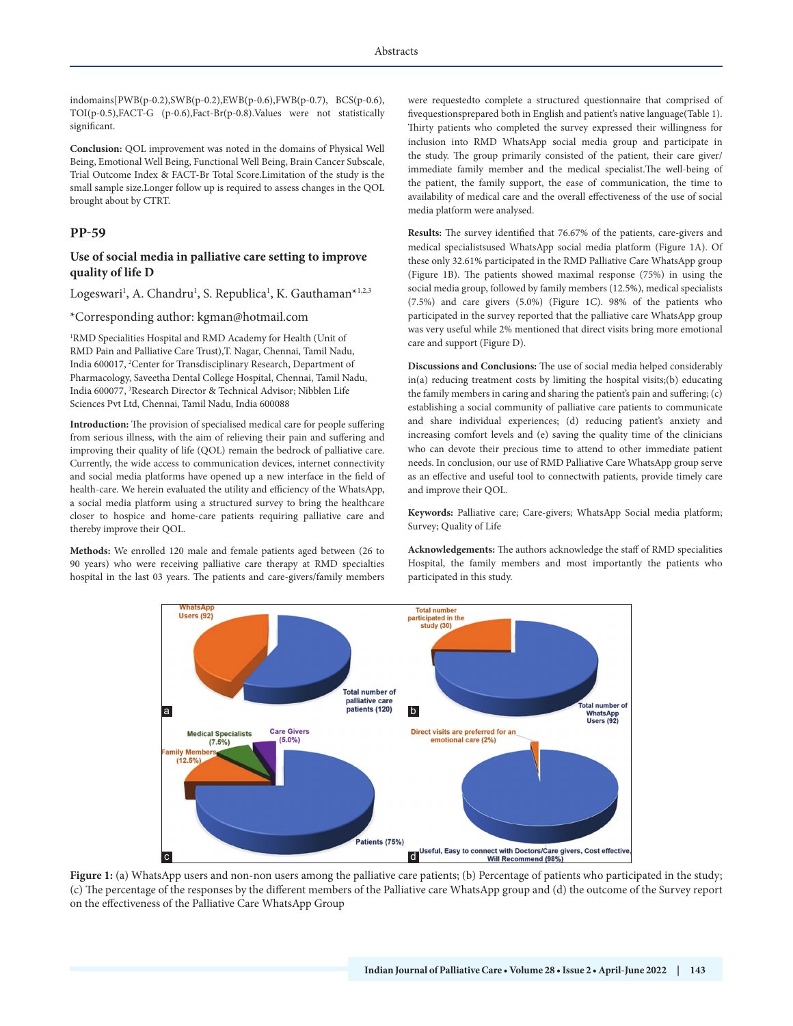indomains[PWB(p-0.2),SWB(p-0.2),EWB(p-0.6),FWB(p-0.7), BCS(p-0.6), TOI(p-0.5),FACT-G (p-0.6),Fact-Br(p-0.8).Values were not statistically significant.

**Conclusion:** QOL improvement was noted in the domains of Physical Well Being, Emotional Well Being, Functional Well Being, Brain Cancer Subscale, Trial Outcome Index & FACT-Br Total Score.Limitation of the study is the small sample size.Longer follow up is required to assess changes in the QOL brought about by CTRT.

### **PP-59**

### **Use of social media in palliative care setting to improve quality of life D**

Logeswari<sup>1</sup>, A. Chandru<sup>1</sup>, S. Republica<sup>1</sup>, K. Gauthaman\*<sup>1,2,3</sup>

#### \*Corresponding author: kgman@hotmail.com

1 RMD Specialities Hospital and RMD Academy for Health (Unit of RMD Pain and Palliative Care Trust),T. Nagar, Chennai, Tamil Nadu, India 600017, 2 Center for Transdisciplinary Research, Department of Pharmacology, Saveetha Dental College Hospital, Chennai, Tamil Nadu, India 600077, 3 Research Director & Technical Advisor; Nibblen Life Sciences Pvt Ltd, Chennai, Tamil Nadu, India 600088

**Introduction:** The provision of specialised medical care for people suffering from serious illness, with the aim of relieving their pain and suffering and improving their quality of life (QOL) remain the bedrock of palliative care. Currently, the wide access to communication devices, internet connectivity and social media platforms have opened up a new interface in the field of health-care. We herein evaluated the utility and efficiency of the WhatsApp, a social media platform using a structured survey to bring the healthcare closer to hospice and home-care patients requiring palliative care and thereby improve their QOL.

**Methods:** We enrolled 120 male and female patients aged between (26 to 90 years) who were receiving palliative care therapy at RMD specialties hospital in the last 03 years. The patients and care-givers/family members were requestedto complete a structured questionnaire that comprised of fivequestionsprepared both in English and patient's native language(Table 1). Thirty patients who completed the survey expressed their willingness for inclusion into RMD WhatsApp social media group and participate in the study. The group primarily consisted of the patient, their care giver/ immediate family member and the medical specialist.The well-being of the patient, the family support, the ease of communication, the time to availability of medical care and the overall effectiveness of the use of social media platform were analysed.

**Results:** The survey identified that 76.67% of the patients, care-givers and medical specialistsused WhatsApp social media platform (Figure 1A). Of these only 32.61% participated in the RMD Palliative Care WhatsApp group (Figure 1B). The patients showed maximal response (75%) in using the social media group, followed by family members (12.5%), medical specialists (7.5%) and care givers (5.0%) (Figure 1C). 98% of the patients who participated in the survey reported that the palliative care WhatsApp group was very useful while 2% mentioned that direct visits bring more emotional care and support (Figure D).

**Discussions and Conclusions:** The use of social media helped considerably in(a) reducing treatment costs by limiting the hospital visits;(b) educating the family members in caring and sharing the patient's pain and suffering; (c) establishing a social community of palliative care patients to communicate and share individual experiences; (d) reducing patient's anxiety and increasing comfort levels and (e) saving the quality time of the clinicians who can devote their precious time to attend to other immediate patient needs. In conclusion, our use of RMD Palliative Care WhatsApp group serve as an effective and useful tool to connectwith patients, provide timely care and improve their QOL.

**Keywords:** Palliative care; Care-givers; WhatsApp Social media platform; Survey; Quality of Life

**Acknowledgements:** The authors acknowledge the staff of RMD specialities Hospital, the family members and most importantly the patients who participated in this study.



Figure 1: (a) WhatsApp users and non-non users among the palliative care patients; (b) Percentage of patients who participated in the study; (c) The percentage of the responses by the different members of the Palliative care WhatsApp group and (d) the outcome of the Survey report on the effectiveness of the Palliative Care WhatsApp Group